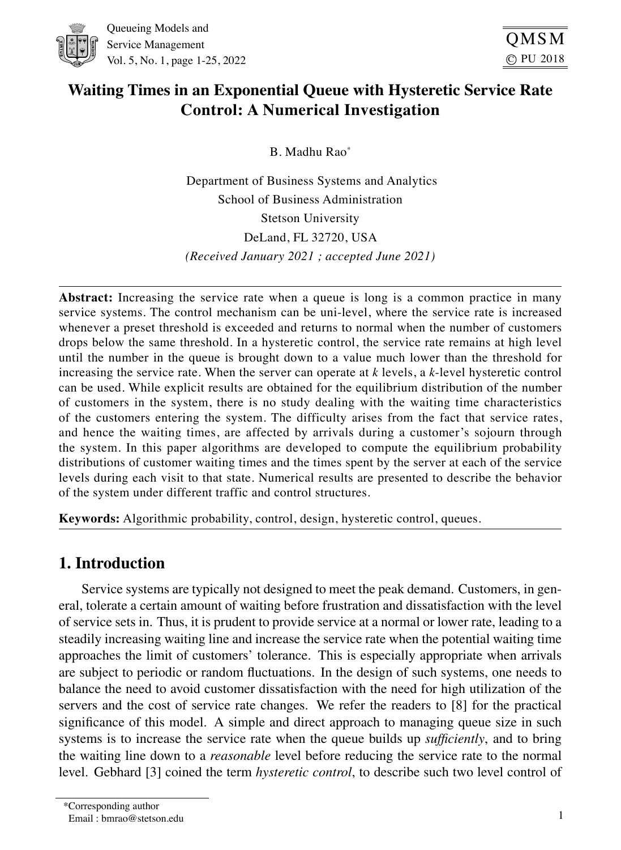

# **Waiting Times in an Exponential Queue with Hysteretic Service Rate Control: A Numerical Investigation**

B. Madhu Rao\*

Department of Business Systems and Analytics School of Business Administration Stetson University DeLand, FL 32720, USA *(Received January 2021 ; accepted June 2021)*

**Abstract:** Increasing the service rate when a queue is long is a common practice in many service systems. The control mechanism can be uni-level, where the service rate is increased whenever a preset threshold is exceeded and returns to normal when the number of customers drops below the same threshold. In a hysteretic control, the service rate remains at high level until the number in the queue is brought down to a value much lower than the threshold for increasing the service rate. When the server can operate at *k* levels, a *k*-level hysteretic control can be used. While explicit results are obtained for the equilibrium distribution of the number of customers in the system, there is no study dealing with the waiting time characteristics of the customers entering the system. The difficulty arises from the fact that service rates, and hence the waiting times, are affected by arrivals during a customer's sojourn through the system. In this paper algorithms are developed to compute the equilibrium probability distributions of customer waiting times and the times spent by the server at each of the service levels during each visit to that state. Numerical results are presented to describe the behavior of the system under different traffic and control structures.

**Keywords:** Algorithmic probability, control, design, hysteretic control, queues.

## 1. Introduction

Service systems are typically not designed to meet the peak demand. Customers, in general, tolerate a certain amount of waiting before frustration and dissatisfaction with the level of service sets in. Thus, it is prudent to provide service at a normal or lower rate, leading to a steadily increasing waiting line and increase the service rate when the potential waiting time approaches the limit of customers' tolerance. This is especially appropriate when arrivals are subject to periodic or random fluctuations. In the design of such systems, one needs to balance the need to avoid customer dissatisfaction with the need for high utilization of the servers and the cost of service rate changes. We refer the readers to [8] for the practical significance of this model. A simple and direct approach to managing queue size in such systems is to increase the service rate when the queue builds up *sufficiently*, and to bring the waiting line down to a *reasonable* level before reducing the service rate to the normal level. Gebhard [3] coined the term *hysteretic control*, to describe such two level control of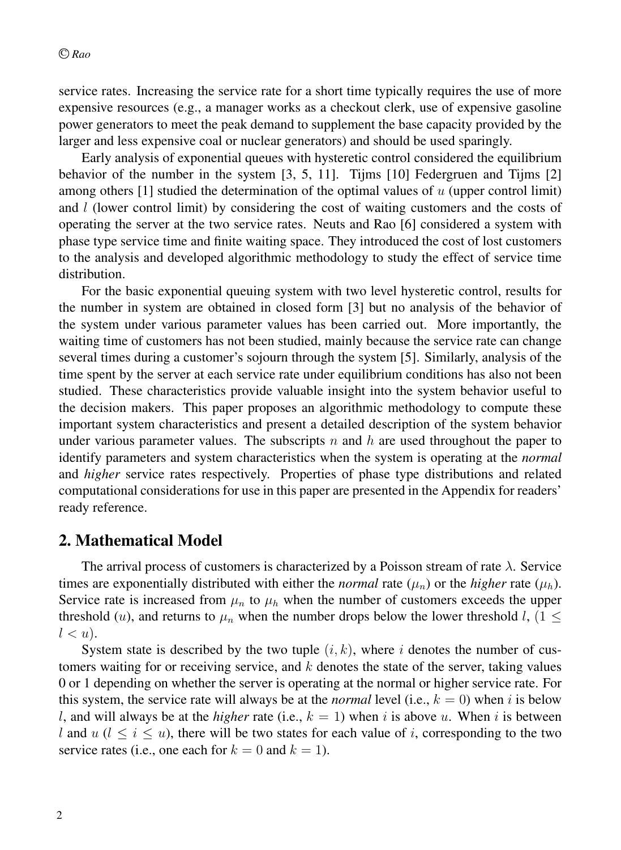service rates. Increasing the service rate for a short time typically requires the use of more expensive resources (e.g., a manager works as a checkout clerk, use of expensive gasoline power generators to meet the peak demand to supplement the base capacity provided by the larger and less expensive coal or nuclear generators) and should be used sparingly.

Early analysis of exponential queues with hysteretic control considered the equilibrium behavior of the number in the system [3, 5, 11]. Tijms [10] Federgruen and Tijms [2] among others  $[1]$  studied the determination of the optimal values of  $u$  (upper control limit) and l (lower control limit) by considering the cost of waiting customers and the costs of operating the server at the two service rates. Neuts and Rao [6] considered a system with phase type service time and finite waiting space. They introduced the cost of lost customers to the analysis and developed algorithmic methodology to study the effect of service time distribution.

For the basic exponential queuing system with two level hysteretic control, results for the number in system are obtained in closed form [3] but no analysis of the behavior of the system under various parameter values has been carried out. More importantly, the waiting time of customers has not been studied, mainly because the service rate can change several times during a customer's sojourn through the system [5]. Similarly, analysis of the time spent by the server at each service rate under equilibrium conditions has also not been studied. These characteristics provide valuable insight into the system behavior useful to the decision makers. This paper proposes an algorithmic methodology to compute these important system characteristics and present a detailed description of the system behavior under various parameter values. The subscripts n and h are used throughout the paper to identify parameters and system characteristics when the system is operating at the *normal* and *higher* service rates respectively. Properties of phase type distributions and related computational considerations for use in this paper are presented in the Appendix for readers' ready reference.

### 2. Mathematical Model

The arrival process of customers is characterized by a Poisson stream of rate  $\lambda$ . Service times are exponentially distributed with either the *normal* rate  $(\mu_n)$  or the *higher* rate  $(\mu_h)$ . Service rate is increased from  $\mu_n$  to  $\mu_h$  when the number of customers exceeds the upper threshold (u), and returns to  $\mu_n$  when the number drops below the lower threshold l, (1  $\leq$  $l < u$ ).

System state is described by the two tuple  $(i, k)$ , where i denotes the number of customers waiting for or receiving service, and  $k$  denotes the state of the server, taking values 0 or 1 depending on whether the server is operating at the normal or higher service rate. For this system, the service rate will always be at the *normal* level (i.e.,  $k = 0$ ) when i is below l, and will always be at the *higher* rate (i.e.,  $k = 1$ ) when i is above u. When i is between l and  $u$  ( $l \le i \le u$ ), there will be two states for each value of i, corresponding to the two service rates (i.e., one each for  $k = 0$  and  $k = 1$ ).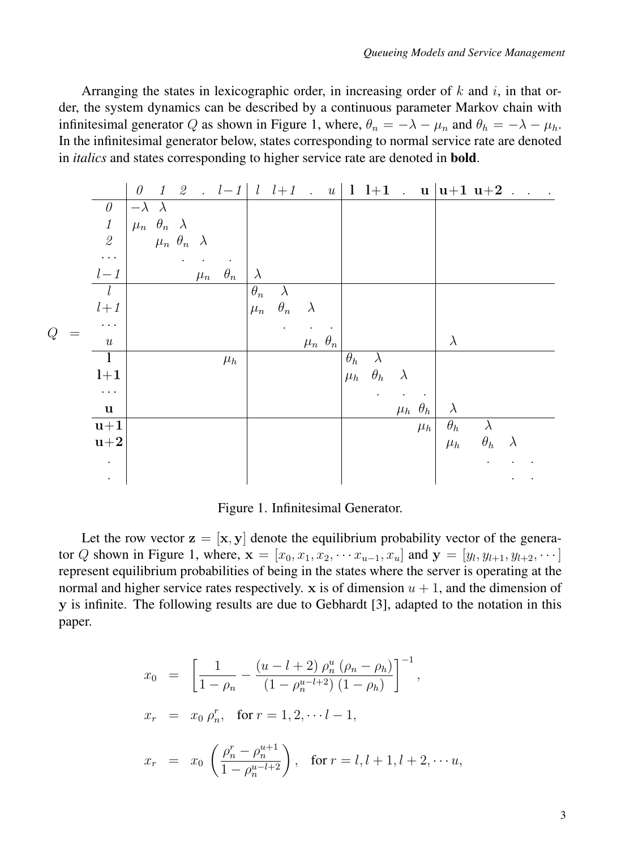Arranging the states in lexicographic order, in increasing order of k and i, in that order, the system dynamics can be described by a continuous parameter Markov chain with infinitesimal generator Q as shown in Figure 1, where,  $\theta_n = -\lambda - \mu_n$  and  $\theta_h = -\lambda - \mu_h$ . In the infinitesimal generator below, states corresponding to normal service rate are denoted in *italics* and states corresponding to higher service rate are denoted in bold.

|       |                                                           | $\theta$                                                                        |  |         |            |                       |            |                    |            |                      |                      |                    | $1 \t2 \t-l-1 \t l \t l+1 \t u \t l +1 \t u \t u+1 u+2 \t $ |            |           |  |
|-------|-----------------------------------------------------------|---------------------------------------------------------------------------------|--|---------|------------|-----------------------|------------|--------------------|------------|----------------------|----------------------|--------------------|-------------------------------------------------------------|------------|-----------|--|
|       | $\theta$                                                  | $-\lambda$ $\lambda$                                                            |  |         |            |                       |            |                    |            |                      |                      |                    |                                                             |            |           |  |
|       | $\it 1$                                                   |                                                                                 |  |         |            |                       |            |                    |            |                      |                      |                    |                                                             |            |           |  |
|       | $\mathcal{Q}% _{M_{1},M_{2}}^{\alpha,\beta}(\varepsilon)$ | $\begin{array}{ccc}\mu_n&\theta_n&\lambda\\ &\mu_n&\theta_n&\lambda\end{array}$ |  |         |            |                       |            |                    |            |                      |                      |                    |                                                             |            |           |  |
|       | $\ddots$                                                  |                                                                                 |  |         |            |                       |            |                    |            |                      |                      |                    |                                                             |            |           |  |
|       | $l-1$                                                     |                                                                                 |  | $\mu_n$ | $\theta_n$ | $\lambda$             |            |                    |            |                      |                      |                    |                                                             |            |           |  |
|       | l                                                         |                                                                                 |  |         |            | $\overline{\theta_n}$ | $\lambda$  |                    |            |                      |                      |                    |                                                             |            |           |  |
|       | $l\!+\!1$                                                 |                                                                                 |  |         |            | $\mu_n$               | $\theta_n$ | $\lambda$          |            |                      |                      |                    |                                                             |            |           |  |
| $\,Q$ | $\cdots$                                                  |                                                                                 |  |         |            |                       |            |                    |            |                      |                      |                    |                                                             |            |           |  |
|       | $\boldsymbol{u}$                                          |                                                                                 |  |         |            |                       |            | $\mu_n$ $\theta_n$ |            |                      |                      |                    | $\lambda$                                                   |            |           |  |
|       | $\mathbf{1}$                                              |                                                                                 |  |         | $\mu_h$    |                       |            |                    | $\theta_h$ | $\lambda$            |                      |                    |                                                             |            |           |  |
|       | $l+1$                                                     |                                                                                 |  |         |            |                       |            |                    | $\mu_h$    | $\theta_h$           | $\lambda$            |                    |                                                             |            |           |  |
|       | $\ldots$                                                  |                                                                                 |  |         |            |                       |            |                    |            | $\ddot{\phantom{0}}$ | $\ddot{\phantom{1}}$ |                    |                                                             |            |           |  |
|       | $\mathbf u$                                               |                                                                                 |  |         |            |                       |            |                    |            |                      |                      | $\mu_h$ $\theta_h$ | $\lambda$                                                   |            |           |  |
|       | $u+1$                                                     |                                                                                 |  |         |            |                       |            |                    |            |                      |                      | $\mu_h$            | $\theta_h$                                                  | $\lambda$  |           |  |
|       | $u+2$                                                     |                                                                                 |  |         |            |                       |            |                    |            |                      |                      |                    | $\mu_h$                                                     | $\theta_h$ | $\lambda$ |  |
|       | $\bullet$                                                 |                                                                                 |  |         |            |                       |            |                    |            |                      |                      |                    |                                                             |            |           |  |
|       |                                                           |                                                                                 |  |         |            |                       |            |                    |            |                      |                      |                    |                                                             |            |           |  |

Figure 1. Infinitesimal Generator.

Let the row vector  $z = [x, y]$  denote the equilibrium probability vector of the generator Q shown in Figure 1, where,  $\mathbf{x} = [x_0, x_1, x_2, \cdots x_{u-1}, x_u]$  and  $\mathbf{y} = [y_l, y_{l+1}, y_{l+2}, \cdots]$ represent equilibrium probabilities of being in the states where the server is operating at the normal and higher service rates respectively. x is of dimension  $u + 1$ , and the dimension of y is infinite. The following results are due to Gebhardt [3], adapted to the notation in this paper.

$$
x_0 = \left[\frac{1}{1-\rho_n} - \frac{(u-l+2)\,\rho_n^u\,(\rho_n-\rho_h)}{(1-\rho_n^{u-l+2})\,(1-\rho_h)}\right]^{-1},
$$
  
\n
$$
x_r = x_0\,\rho_n^r, \text{ for } r = 1, 2, \cdots l-1,
$$
  
\n
$$
x_r = x_0 \left(\frac{\rho_n^r - \rho_n^{u+1}}{1-\rho_n^{u-l+2}}\right), \text{ for } r = l, l+1, l+2, \cdots u,
$$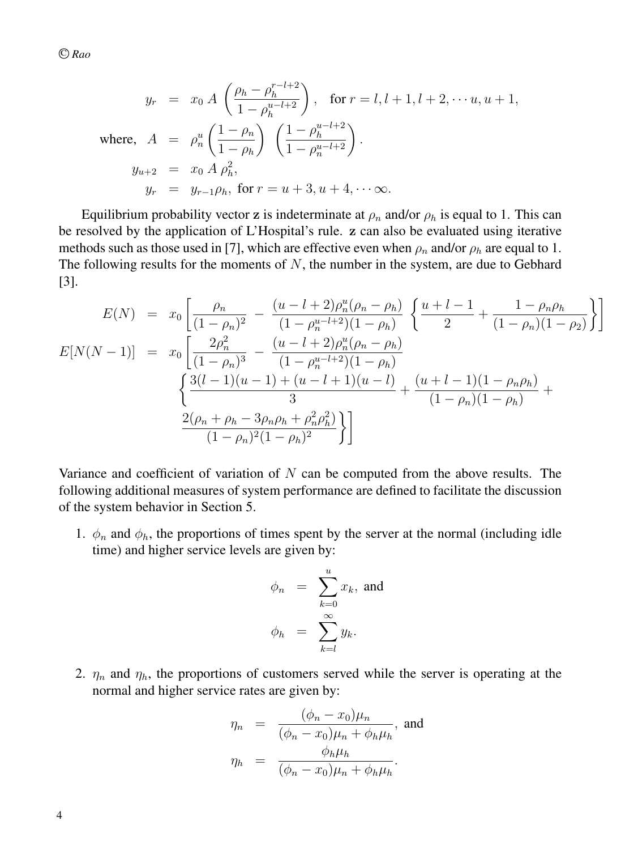$$
y_r = x_0 A \left( \frac{\rho_h - \rho_h^{r-l+2}}{1 - \rho_h^{u-l+2}} \right), \text{ for } r = l, l+1, l+2, \dots u, u+1,
$$
  
where, 
$$
A = \rho_n^u \left( \frac{1 - \rho_n}{1 - \rho_h} \right) \left( \frac{1 - \rho_h^{u-l+2}}{1 - \rho_n^{u-l+2}} \right).
$$

$$
y_{u+2} = x_0 A \rho_h^2,
$$

$$
y_r = y_{r-1} \rho_h, \text{ for } r = u+3, u+4, \dots \infty.
$$

Equilibrium probability vector z is indeterminate at  $\rho_n$  and/or  $\rho_h$  is equal to 1. This can be resolved by the application of L'Hospital's rule. z can also be evaluated using iterative methods such as those used in [7], which are effective even when  $\rho_n$  and/or  $\rho_h$  are equal to 1. The following results for the moments of  $N$ , the number in the system, are due to Gebhard [3].

$$
E(N) = x_0 \left[ \frac{\rho_n}{(1 - \rho_n)^2} - \frac{(u - l + 2)\rho_n^u(\rho_n - \rho_h)}{(1 - \rho_n^{u - l + 2})(1 - \rho_h)} \left\{ \frac{u + l - 1}{2} + \frac{1 - \rho_n \rho_h}{(1 - \rho_n)(1 - \rho_2)} \right\} \right]
$$

$$
E[N(N-1)] = x_0 \left[ \frac{2\rho_n^2}{(1 - \rho_n)^3} - \frac{(u - l + 2)\rho_n^u(\rho_n - \rho_h)}{(1 - \rho_n^{u - l + 2})(1 - \rho_h)} \right]
$$

$$
\left\{ \frac{3(l - 1)(u - 1) + (u - l + 1)(u - l)}{3} + \frac{(u + l - 1)(1 - \rho_n \rho_h)}{(1 - \rho_n)(1 - \rho_h)} + \frac{2(\rho_n + \rho_h - 3\rho_n \rho_h + \rho_n^2 \rho_h^2)}{(1 - \rho_n)^2 (1 - \rho_h)^2} \right\} \right]
$$

Variance and coefficient of variation of  $N$  can be computed from the above results. The following additional measures of system performance are defined to facilitate the discussion of the system behavior in Section 5.

1.  $\phi_n$  and  $\phi_h$ , the proportions of times spent by the server at the normal (including idle time) and higher service levels are given by:

$$
\phi_n = \sum_{k=0}^u x_k, \text{ and}
$$

$$
\phi_h = \sum_{k=l}^\infty y_k.
$$

2.  $\eta_n$  and  $\eta_h$ , the proportions of customers served while the server is operating at the normal and higher service rates are given by:

$$
\eta_n = \frac{(\phi_n - x_0)\mu_n}{(\phi_n - x_0)\mu_n + \phi_h\mu_h}, \text{ and}
$$

$$
\eta_h = \frac{\phi_h\mu_h}{(\phi_n - x_0)\mu_n + \phi_h\mu_h}.
$$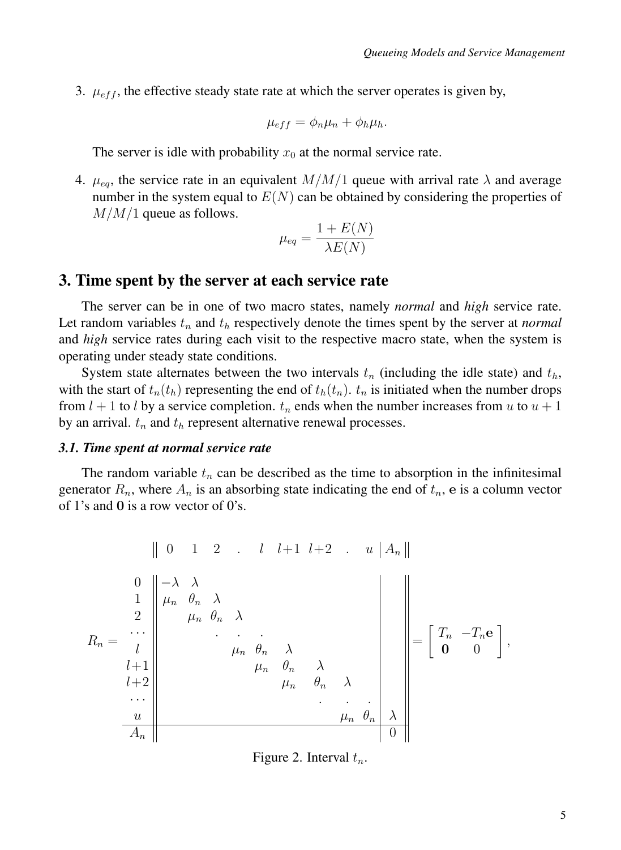3.  $\mu_{eff}$ , the effective steady state rate at which the server operates is given by,

$$
\mu_{eff} = \phi_n \mu_n + \phi_h \mu_h.
$$

The server is idle with probability  $x_0$  at the normal service rate.

4.  $\mu_{eq}$ , the service rate in an equivalent  $M/M/1$  queue with arrival rate  $\lambda$  and average number in the system equal to  $E(N)$  can be obtained by considering the properties of  $M/M/1$  queue as follows.

$$
\mu_{eq} = \frac{1 + E(N)}{\lambda E(N)}
$$

### 3. Time spent by the server at each service rate

The server can be in one of two macro states, namely *normal* and *high* service rate. Let random variables  $t_n$  and  $t_h$  respectively denote the times spent by the server at *normal* and *high* service rates during each visit to the respective macro state, when the system is operating under steady state conditions.

System state alternates between the two intervals  $t_n$  (including the idle state) and  $t_h$ , with the start of  $t_n(t_h)$  representing the end of  $t_h(t_n)$ .  $t_n$  is initiated when the number drops from  $l + 1$  to l by a service completion.  $t_n$  ends when the number increases from u to  $u + 1$ by an arrival.  $t_n$  and  $t_h$  represent alternative renewal processes.

### *3.1. Time spent at normal service rate*

The random variable  $t_n$  can be described as the time to absorption in the infinitesimal generator  $R_n$ , where  $A_n$  is an absorbing state indicating the end of  $t_n$ , e is a column vector of 1's and 0 is a row vector of 0's.

$$
R_n = \begin{array}{c|c|c|c|c} & & 0 & 1 & 2 & \ldots & l & l+1 & l+2 & \ldots & u & |A_n| \\ 0 & & & & & & & & \\ 0 & & & & & & & & \\ 0 & & & & & & & & \\ 0 & & & & & & & & \\ 1 & & & & & & & & \\ 2 & & & & & & & & \\ 2 & & & & & & & & \\ 3 & & & & & & & & \\ 4 & & & & & & & & \\ 5 & & & & & & & & \\ 4 & & & & & & & & \\ 4 & & & & & & & & \\ 5 & & & & & & & & \\ 6 & & & & & & & & \\ 7 & & & & & & & & \\ 8 & & & & & & & & \\ 9 & & & & & & & & \\ 14 & & & & & & & & \\ 15 & & & & & & & & \\ 16 & & & & & & & & \\ 17 & & & & & & & & \\ 18 & & & & & & & & \\ 19 & & & & & & & & \\ 14 & & & & & & & & \\ 15 & & & & & & & & \\
$$

Figure 2. Interval  $t_n$ .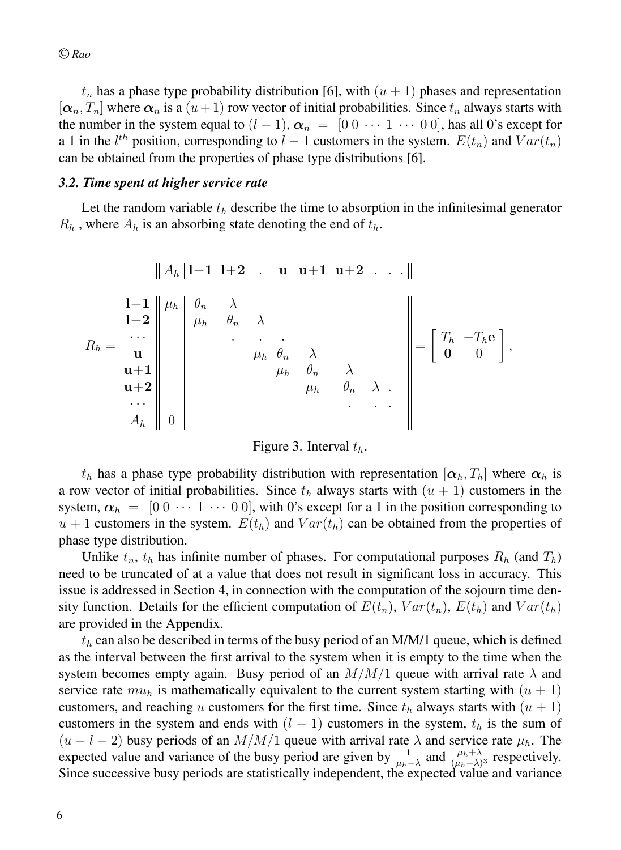$t_n$  has a phase type probability distribution [6], with  $(u + 1)$  phases and representation  $[\alpha_n, T_n]$  where  $\alpha_n$  is a  $(u+1)$  row vector of initial probabilities. Since  $t_n$  always starts with the number in the system equal to  $(l - 1)$ ,  $\alpha_n = [0 \ 0 \ \cdots \ 1 \ \cdots \ 0 \ 0]$ , has all 0's except for a 1 in the  $l^{th}$  position, corresponding to  $l - 1$  customers in the system.  $E(t_n)$  and  $Var(t_n)$ can be obtained from the properties of phase type distributions [6].

#### *3.2. Time spent at higher service rate*

Let the random variable  $t<sub>h</sub>$  describe the time to absorption in the infinitesimal generator  $R_h$ , where  $A_h$  is an absorbing state denoting the end of  $t_h$ .

$$
R_h = \begin{array}{c|c|c|c|c} & & & & & \\ \hline 1+1 & & & & & \\ 1+1 & & & & & \\ 1+2 & & & & & \\ 1+2 & & & & & \\ 1+2 & & & & & \\ 1+1 & & & & & \\ 1+1 & & & & & \\ 1+1 & & & & & \\ 1+1 & & & & & \\ 1+1 & & & & & \\ 1+1 & & & & & \\ 1+1 & & & & & \\ 1+1 & & & & & \\ 1+1 & & & & & \\ 1+1 & & & & & \\ 1+1 & & & & & \\ 1+1 & & & & & \\ 1+1 & & & & & \\ 1+1 & & & & & \\ 1+1 & & & & & \\ 1+1 & & & & & \\ 1+1 & & & & & \\ 1+1 & & & & & \\ 1+1 & & & & & \\ 1+1 & & & & & \\ 1+1 & & & & & \\ 1+1 & & & & & \\ 1+1 & & & & & \\ 1+1 & & & & & \\ 1+1 & & & & & \\ 1+1 & & & & & \\ 1+1 & & & & & \\ 1+1 & & & & & \\ 1+1 & & & & & \\ 1+1 & & & & & \\ 1+1 & & & & & \\ 1
$$

### Figure 3. Interval  $t_h$ .

 $t_h$  has a phase type probability distribution with representation  $[\alpha_h, T_h]$  where  $\alpha_h$  is a row vector of initial probabilities. Since  $t<sub>h</sub>$  always starts with  $(u + 1)$  customers in the system,  $\alpha_h = [0 \ 0 \ \cdots \ 1 \ \cdots \ 0 \ 0]$ , with 0's except for a 1 in the position corresponding to  $u + 1$  customers in the system.  $E(t_h)$  and  $Var(t_h)$  can be obtained from the properties of phase type distribution.

Unlike  $t_n$ ,  $t_h$  has infinite number of phases. For computational purposes  $R_h$  (and  $T_h$ ) need to be truncated of at a value that does not result in significant loss in accuracy. This issue is addressed in Section 4, in connection with the computation of the sojourn time density function. Details for the efficient computation of  $E(t_n)$ ,  $Var(t_n)$ ,  $E(t_h)$  and  $Var(t_h)$ are provided in the Appendix.

 $t<sub>h</sub>$  can also be described in terms of the busy period of an M/M/1 queue, which is defined as the interval between the first arrival to the system when it is empty to the time when the system becomes empty again. Busy period of an  $M/M/1$  queue with arrival rate  $\lambda$  and service rate  $mu_h$  is mathematically equivalent to the current system starting with  $(u + 1)$ customers, and reaching u customers for the first time. Since  $t<sub>h</sub>$  always starts with  $(u + 1)$ customers in the system and ends with  $(l - 1)$  customers in the system,  $t<sub>h</sub>$  is the sum of  $(u - l + 2)$  busy periods of an  $M/M/1$  queue with arrival rate  $\lambda$  and service rate  $\mu_h$ . The expected value and variance of the busy period are given by  $\frac{1}{\mu_h - \lambda}$  and  $\frac{\mu_h + \lambda}{(\mu_h - \lambda)^3}$  respectively. Since successive busy periods are statistically independent, the expected value and variance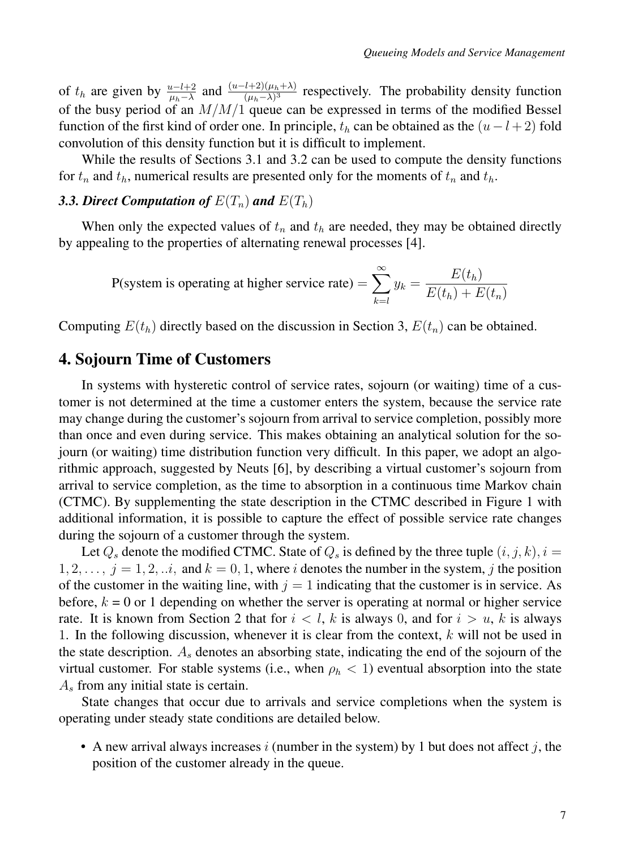of  $t_h$  are given by  $\frac{u-l+2}{\mu_h-\lambda}$  and  $\frac{(u-l+2)(\mu_h+\lambda)}{(\mu_h-\lambda)^3}$  respectively. The probability density function of the busy period of an  $M/M/1$  queue can be expressed in terms of the modified Bessel function of the first kind of order one. In principle,  $t<sub>h</sub>$  can be obtained as the  $(u-l+2)$  fold convolution of this density function but it is difficult to implement.

While the results of Sections 3.1 and 3.2 can be used to compute the density functions for  $t_n$  and  $t_h$ , numerical results are presented only for the moments of  $t_n$  and  $t_h$ .

### 3.3. Direct Computation of  $E(T_n)$  and  $E(T_h)$

When only the expected values of  $t_n$  and  $t_h$  are needed, they may be obtained directly by appealing to the properties of alternating renewal processes [4].

$$
P(\text{system is operating at higher service rate}) = \sum_{k=l}^{\infty} y_k = \frac{E(t_h)}{E(t_h) + E(t_n)}
$$

Computing  $E(t_h)$  directly based on the discussion in Section 3,  $E(t_n)$  can be obtained.

### 4. Sojourn Time of Customers

In systems with hysteretic control of service rates, sojourn (or waiting) time of a customer is not determined at the time a customer enters the system, because the service rate may change during the customer's sojourn from arrival to service completion, possibly more than once and even during service. This makes obtaining an analytical solution for the sojourn (or waiting) time distribution function very difficult. In this paper, we adopt an algorithmic approach, suggested by Neuts [6], by describing a virtual customer's sojourn from arrival to service completion, as the time to absorption in a continuous time Markov chain (CTMC). By supplementing the state description in the CTMC described in Figure 1 with additional information, it is possible to capture the effect of possible service rate changes during the sojourn of a customer through the system.

Let  $Q_s$  denote the modified CTMC. State of  $Q_s$  is defined by the three tuple  $(i, j, k)$ ,  $i =$  $1, 2, \ldots, j = 1, 2, \ldots$ , and  $k = 0, 1$ , where i denotes the number in the system, j the position of the customer in the waiting line, with  $j = 1$  indicating that the customer is in service. As before,  $k = 0$  or 1 depending on whether the server is operating at normal or higher service rate. It is known from Section 2 that for  $i < l$ , k is always 0, and for  $i > u$ , k is always 1. In the following discussion, whenever it is clear from the context,  $k$  will not be used in the state description.  $A_s$  denotes an absorbing state, indicating the end of the sojourn of the virtual customer. For stable systems (i.e., when  $\rho_h < 1$ ) eventual absorption into the state  $A<sub>s</sub>$  from any initial state is certain.

State changes that occur due to arrivals and service completions when the system is operating under steady state conditions are detailed below.

• A new arrival always increases i (number in the system) by 1 but does not affect j, the position of the customer already in the queue.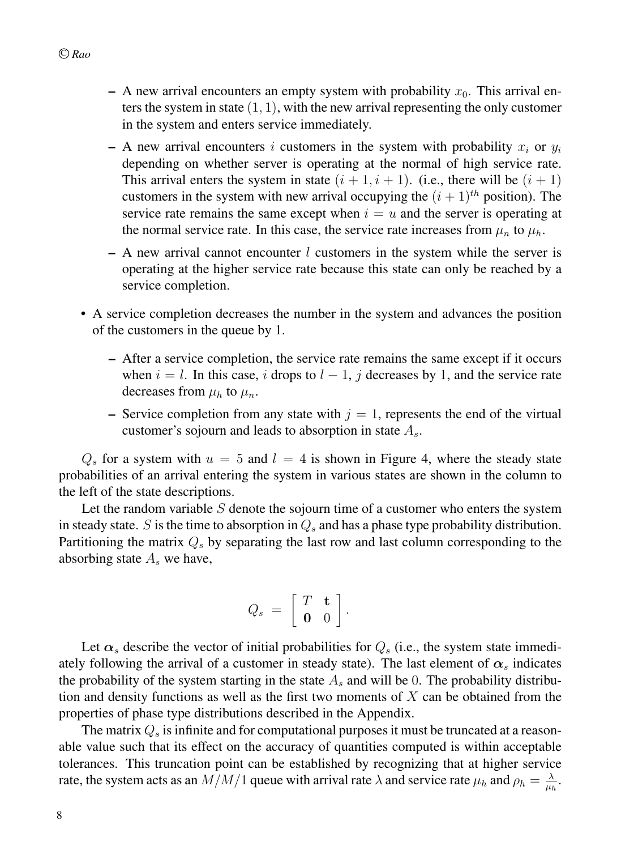- A new arrival encounters an empty system with probability  $x_0$ . This arrival enters the system in state  $(1, 1)$ , with the new arrival representing the only customer in the system and enters service immediately.
- A new arrival encounters i customers in the system with probability  $x_i$  or  $y_i$ depending on whether server is operating at the normal of high service rate. This arrival enters the system in state  $(i + 1, i + 1)$ . (i.e., there will be  $(i + 1)$ ) customers in the system with new arrival occupying the  $(i + 1)<sup>th</sup>$  position). The service rate remains the same except when  $i = u$  and the server is operating at the normal service rate. In this case, the service rate increases from  $\mu_n$  to  $\mu_h$ .
- $-$  A new arrival cannot encounter l customers in the system while the server is operating at the higher service rate because this state can only be reached by a service completion.
- A service completion decreases the number in the system and advances the position of the customers in the queue by 1.
	- After a service completion, the service rate remains the same except if it occurs when  $i = l$ . In this case, i drops to  $l - 1$ , j decreases by 1, and the service rate decreases from  $\mu_h$  to  $\mu_n$ .
	- Service completion from any state with  $j = 1$ , represents the end of the virtual customer's sojourn and leads to absorption in state  $A_s$ .

 $Q_s$  for a system with  $u = 5$  and  $l = 4$  is shown in Figure 4, where the steady state probabilities of an arrival entering the system in various states are shown in the column to the left of the state descriptions.

Let the random variable  $S$  denote the sojourn time of a customer who enters the system in steady state. S is the time to absorption in  $Q_s$  and has a phase type probability distribution. Partitioning the matrix  $Q_s$  by separating the last row and last column corresponding to the absorbing state  $A<sub>s</sub>$  we have,

$$
Q_s = \left[ \begin{array}{cc} T & \mathbf{t} \\ \mathbf{0} & 0 \end{array} \right].
$$

Let  $\alpha_s$  describe the vector of initial probabilities for  $Q_s$  (i.e., the system state immediately following the arrival of a customer in steady state). The last element of  $\alpha_s$  indicates the probability of the system starting in the state  $A_s$  and will be 0. The probability distribution and density functions as well as the first two moments of  $X$  can be obtained from the properties of phase type distributions described in the Appendix.

The matrix  $Q_s$  is infinite and for computational purposes it must be truncated at a reasonable value such that its effect on the accuracy of quantities computed is within acceptable tolerances. This truncation point can be established by recognizing that at higher service rate, the system acts as an  $M/M/1$  queue with arrival rate  $\lambda$  and service rate  $\mu_h$  and  $\rho_h = \frac{\lambda}{\mu_h}$ .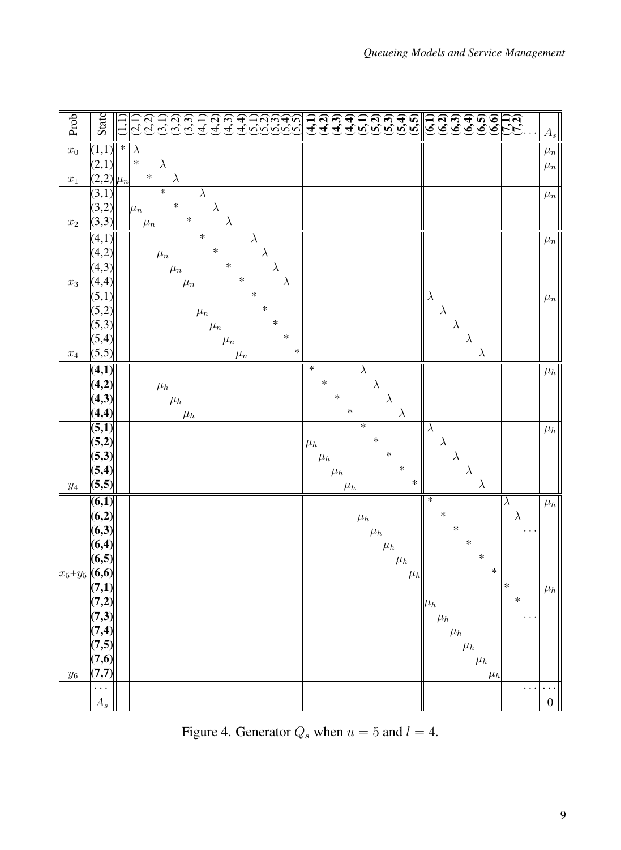| Prob               | State            |        | (2,2)<br>$\overline{c}$ |                      | ລີ ວິ ວິ<br>ລີ ວິ ວິ |           | नियं<br>संयुक्त<br>संयुक् |         |                      | مرمزمزمزما<br>بابری بابریا<br>بابری بابری | नु      | $\overline{a}$ | $\mathbf{A}$<br>$\mathbf{a}$ |                      |           | ન તે જે <del>ન</del> જે<br>ન તે જે સા |                      |           | <u>କ୍ଟ୍ର୍କ୍ ଜ୍ବିକ୍ନ୍</u><br>କ୍ଟ୍ର୍କ୍ ଜ୍ବିକ୍ନ୍ |         |           | $ A_s $        |
|--------------------|------------------|--------|-------------------------|----------------------|----------------------|-----------|---------------------------|---------|----------------------|-------------------------------------------|---------|----------------|------------------------------|----------------------|-----------|---------------------------------------|----------------------|-----------|-----------------------------------------------|---------|-----------|----------------|
| $x_0$              | (1,1)            | $\ast$ | $\overline{\lambda}$    |                      |                      |           |                           |         |                      |                                           |         |                |                              |                      |           |                                       |                      |           |                                               |         |           | $ \mu_n $      |
|                    | (2,1)            |        | $\overline{\ast}$       | $\overline{\lambda}$ |                      |           |                           |         |                      |                                           |         |                |                              |                      |           |                                       |                      |           |                                               |         |           | $ \mu_n $      |
| $x_1$              | $(2,2)  \mu_n $  |        | $\ast$                  |                      | $\lambda$            |           |                           |         |                      |                                           |         |                |                              |                      |           |                                       |                      |           |                                               |         |           |                |
|                    | (3,1)            |        |                         | $\ast$               |                      | $\lambda$ |                           |         |                      |                                           |         |                |                              |                      |           |                                       |                      |           |                                               |         |           | $ \mu_n $      |
|                    | (3,2)            |        | $\mu_n$                 |                      | $\ast$               |           | $\lambda$                 |         |                      |                                           |         |                |                              |                      |           |                                       |                      |           |                                               |         |           |                |
| $x_2$              | (3,3)            |        | $\mu_n$                 |                      | $\ast$               |           | $\lambda$                 |         |                      |                                           |         |                |                              |                      |           |                                       |                      |           |                                               |         |           |                |
|                    | (4,1)            |        |                         |                      |                      | $\ast$    |                           |         | $\overline{\lambda}$ |                                           |         |                |                              |                      |           |                                       |                      |           |                                               |         |           | $ \mu_n $      |
|                    | (4,2)            |        |                         | $\mu_n$              |                      |           | $\ast$<br>$\ast$          |         | $\lambda$            |                                           |         |                |                              |                      |           |                                       |                      |           |                                               |         |           |                |
|                    | (4,3)            |        |                         |                      | $\mu_n$              |           |                           | $\ast$  | $\lambda$            |                                           |         |                |                              |                      |           |                                       |                      |           |                                               |         |           |                |
| $\boldsymbol{x}_3$ | (4,4)            |        |                         |                      | $\mu_n$              |           |                           |         | $\ast$               | $\lambda$                                 |         |                |                              |                      |           |                                       | $\lambda$            |           |                                               |         |           |                |
|                    | (5,1)<br>(5,2)   |        |                         |                      |                      |           |                           |         | $\ast$               |                                           |         |                |                              |                      |           |                                       | $\lambda$            |           |                                               |         |           | $ \mu_n $      |
|                    | (5,3)            |        |                         |                      |                      | $\mu_n$   | $\mu_n$                   |         |                      | $\ast$                                    |         |                |                              |                      |           |                                       |                      | $\lambda$ |                                               |         |           |                |
|                    | (5,4)            |        |                         |                      |                      |           | $\mu_n$                   |         |                      | $\ast$                                    |         |                |                              |                      |           |                                       |                      |           | $\lambda$                                     |         |           |                |
| $\boldsymbol{x}_4$ | (5,5)            |        |                         |                      |                      |           |                           | $\mu_n$ |                      | $\ast$                                    |         |                |                              |                      |           |                                       |                      |           | $\lambda$                                     |         |           |                |
|                    | (4,1)            |        |                         |                      |                      |           |                           |         |                      |                                           | $\ast$  |                |                              | $\overline{\lambda}$ |           |                                       |                      |           |                                               |         |           | $\mu_h$        |
|                    | (4,2)            |        |                         | $\mu_h$              |                      |           |                           |         |                      |                                           |         | $\ast$         |                              | $\lambda$            |           |                                       |                      |           |                                               |         |           |                |
|                    | (4,3)            |        |                         |                      | $\mu_h$              |           |                           |         |                      |                                           |         |                | $\ast$                       |                      | $\lambda$ |                                       |                      |           |                                               |         |           |                |
|                    | (4,4)            |        |                         |                      | $\mu_h$              |           |                           |         |                      |                                           |         |                | $\ast$                       |                      |           | $\lambda$                             |                      |           |                                               |         |           |                |
|                    | (5,1)            |        |                         |                      |                      |           |                           |         |                      |                                           |         |                |                              | $\ast$               |           |                                       | $\overline{\lambda}$ |           |                                               |         |           | $ \mu_h $      |
|                    | (5,2)            |        |                         |                      |                      |           |                           |         |                      |                                           | $\mu_h$ |                |                              | $\ast$               |           |                                       | $\lambda$            |           |                                               |         |           |                |
|                    | (5,3)            |        |                         |                      |                      |           |                           |         |                      |                                           |         | $\mu_h$        |                              |                      | $\ast$    |                                       |                      | $\lambda$ |                                               |         |           |                |
|                    | (5,4)            |        |                         |                      |                      |           |                           |         |                      |                                           |         |                | $\mu_h$                      |                      |           | $\ast$<br>$\ast$                      |                      |           | $\lambda$                                     |         |           |                |
| $\mathcal{Y}4$     | (5,5)            |        |                         |                      |                      |           |                           |         |                      |                                           |         |                | $\mu_h$                      |                      |           |                                       |                      |           | $\lambda$                                     |         |           |                |
|                    | (6,1)            |        |                         |                      |                      |           |                           |         |                      |                                           |         |                |                              |                      |           |                                       | $\ast$<br>$\ast$     |           |                                               |         | $\lambda$ | $ \mu_h $      |
|                    | (6,2)<br>(6,3)   |        |                         |                      |                      |           |                           |         |                      |                                           |         |                |                              | $ \mu_h $            |           |                                       |                      | $\ast$    |                                               |         | $\lambda$ |                |
|                    | (6,4)            |        |                         |                      |                      |           |                           |         |                      |                                           |         |                |                              | $\mu_h$              |           |                                       |                      |           | $\ast$                                        |         |           |                |
|                    | (6,5)            |        |                         |                      |                      |           |                           |         |                      |                                           |         |                |                              |                      | $\mu_h$   | $\mu_h$                               |                      |           | $\ast$                                        |         |           |                |
| $x_5 + y_5$        | (6,6)            |        |                         |                      |                      |           |                           |         |                      |                                           |         |                |                              |                      |           | $\mu_h$                               |                      |           |                                               | $\ast$  |           |                |
|                    | (7,1)            |        |                         |                      |                      |           |                           |         |                      |                                           |         |                |                              |                      |           |                                       |                      |           |                                               |         | $\ast$    | $\mu_h$        |
|                    | (7,2)            |        |                         |                      |                      |           |                           |         |                      |                                           |         |                |                              |                      |           |                                       | $ \mu_h $            |           |                                               |         | $\ast$    |                |
|                    | (7,3)            |        |                         |                      |                      |           |                           |         |                      |                                           |         |                |                              |                      |           |                                       | $\mu_h$              |           |                                               |         |           |                |
|                    | (7,4)            |        |                         |                      |                      |           |                           |         |                      |                                           |         |                |                              |                      |           |                                       |                      | $\mu_h$   |                                               |         |           |                |
|                    | (7,5)            |        |                         |                      |                      |           |                           |         |                      |                                           |         |                |                              |                      |           |                                       |                      |           | $\mu_h$                                       |         |           |                |
|                    | (7,6)            |        |                         |                      |                      |           |                           |         |                      |                                           |         |                |                              |                      |           |                                       |                      |           | $\mu_h$                                       |         |           |                |
| $y_{\rm 6}$        | (7,7)            |        |                         |                      |                      |           |                           |         |                      |                                           |         |                |                              |                      |           |                                       |                      |           |                                               | $\mu_h$ |           |                |
|                    | $\cdots$         |        |                         |                      |                      |           |                           |         |                      |                                           |         |                |                              |                      |           |                                       |                      |           |                                               |         | .         |                |
|                    | $\overline{A_s}$ |        |                         |                      |                      |           |                           |         |                      |                                           |         |                |                              |                      |           |                                       |                      |           |                                               |         |           | $\overline{0}$ |

Figure 4. Generator  $Q_s$  when  $u = 5$  and  $l = 4$ .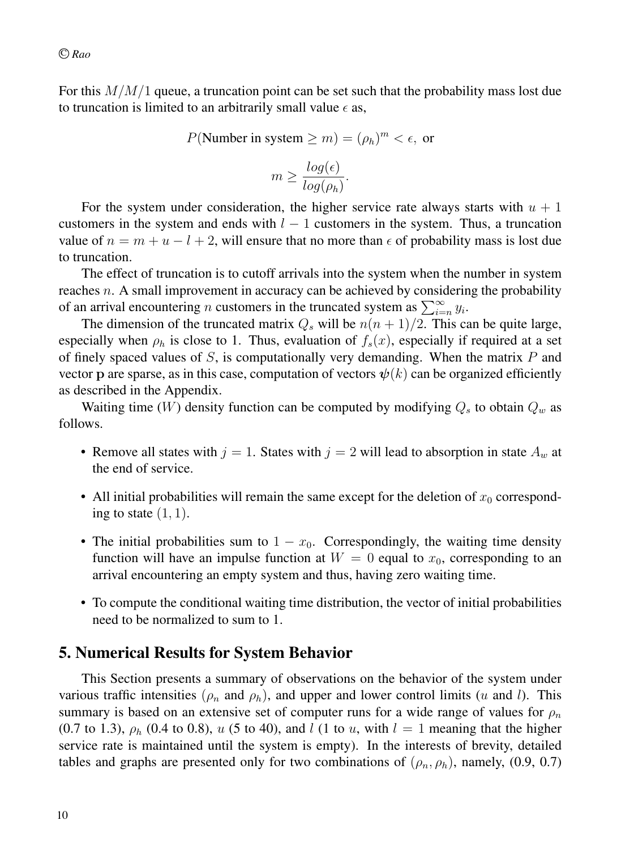For this  $M/M/1$  queue, a truncation point can be set such that the probability mass lost due to truncation is limited to an arbitrarily small value  $\epsilon$  as,

$$
P(\text{Number in system} \ge m) = (\rho_h)^m < \epsilon, \text{ or}
$$
\n
$$
m \ge \frac{\log(\epsilon)}{\log(\rho_h)}.
$$

For the system under consideration, the higher service rate always starts with  $u + 1$ customers in the system and ends with  $l - 1$  customers in the system. Thus, a truncation value of  $n = m + u - l + 2$ , will ensure that no more than  $\epsilon$  of probability mass is lost due to truncation.

The effect of truncation is to cutoff arrivals into the system when the number in system reaches n. A small improvement in accuracy can be achieved by considering the probability of an arrival encountering *n* customers in the truncated system as  $\sum_{i=n}^{\infty} y_i$ .

The dimension of the truncated matrix  $Q_s$  will be  $n(n + 1)/2$ . This can be quite large, especially when  $\rho_h$  is close to 1. Thus, evaluation of  $f_s(x)$ , especially if required at a set of finely spaced values of  $S$ , is computationally very demanding. When the matrix  $P$  and vector p are sparse, as in this case, computation of vectors  $\psi(k)$  can be organized efficiently as described in the Appendix.

Waiting time (W) density function can be computed by modifying  $Q_s$  to obtain  $Q_w$  as follows.

- Remove all states with  $j = 1$ . States with  $j = 2$  will lead to absorption in state  $A_w$  at the end of service.
- All initial probabilities will remain the same except for the deletion of  $x_0$  corresponding to state  $(1, 1)$ .
- The initial probabilities sum to  $1 x_0$ . Correspondingly, the waiting time density function will have an impulse function at  $W = 0$  equal to  $x_0$ , corresponding to an arrival encountering an empty system and thus, having zero waiting time.
- To compute the conditional waiting time distribution, the vector of initial probabilities need to be normalized to sum to 1.

## 5. Numerical Results for System Behavior

This Section presents a summary of observations on the behavior of the system under various traffic intensities ( $\rho_n$  and  $\rho_h$ ), and upper and lower control limits (u and l). This summary is based on an extensive set of computer runs for a wide range of values for  $\rho_n$ (0.7 to 1.3),  $\rho_h$  (0.4 to 0.8), u (5 to 40), and l (1 to u, with  $l = 1$  meaning that the higher service rate is maintained until the system is empty). In the interests of brevity, detailed tables and graphs are presented only for two combinations of  $(\rho_n, \rho_h)$ , namely, (0.9, 0.7)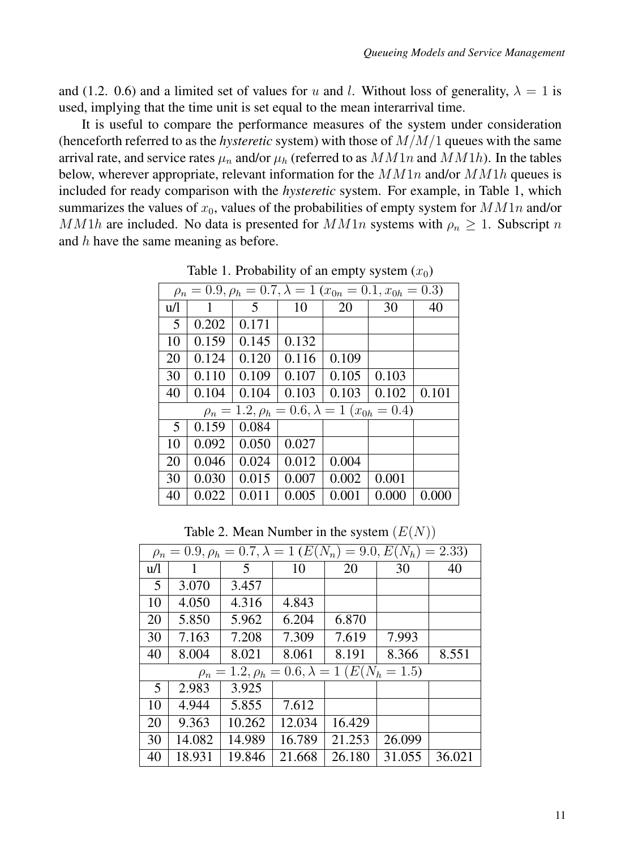and (1.2. 0.6) and a limited set of values for u and l. Without loss of generality,  $\lambda = 1$  is used, implying that the time unit is set equal to the mean interarrival time.

It is useful to compare the performance measures of the system under consideration (henceforth referred to as the *hysteretic* system) with those of M/M/1 queues with the same arrival rate, and service rates  $\mu_n$  and/or  $\mu_h$  (referred to as  $M M1n$  and  $M M1h$ ). In the tables below, wherever appropriate, relevant information for the  $MM1n$  and/or  $MM1n$  queues is included for ready comparison with the *hysteretic* system. For example, in Table 1, which summarizes the values of  $x_0$ , values of the probabilities of empty system for  $MM1n$  and/or MM1h are included. No data is presented for  $MM1n$  systems with  $\rho_n \geq 1$ . Subscript n and  $h$  have the same meaning as before.

|     | $\rho_n = 0.9, \rho_h = 0.7, \lambda = 1$ ( $x_{0n} = 0.1, x_{0h} = 0.3$ ) |       |       |       |                                                            |       |  |  |  |  |  |  |
|-----|----------------------------------------------------------------------------|-------|-------|-------|------------------------------------------------------------|-------|--|--|--|--|--|--|
| u/l |                                                                            | 5     | 10    | 20    | 30                                                         | 40    |  |  |  |  |  |  |
| 5   | 0.202                                                                      | 0.171 |       |       |                                                            |       |  |  |  |  |  |  |
| 10  | 0.159                                                                      | 0.145 | 0.132 |       |                                                            |       |  |  |  |  |  |  |
| 20  | 0.124                                                                      | 0.120 | 0.116 | 0.109 |                                                            |       |  |  |  |  |  |  |
| 30  | 0.110                                                                      | 0.109 | 0.107 | 0.105 | 0.103                                                      |       |  |  |  |  |  |  |
| 40  | 0.104                                                                      | 0.104 | 0.103 | 0.103 | 0.102                                                      | 0.101 |  |  |  |  |  |  |
|     |                                                                            |       |       |       | $\rho_n = 1.2, \rho_h = 0.6, \lambda = 1 \ (x_{0h} = 0.4)$ |       |  |  |  |  |  |  |
| 5   | 0.159                                                                      | 0.084 |       |       |                                                            |       |  |  |  |  |  |  |
| 10  | 0.092                                                                      | 0.050 | 0.027 |       |                                                            |       |  |  |  |  |  |  |
| 20  | 0.046                                                                      | 0.024 | 0.012 | 0.004 |                                                            |       |  |  |  |  |  |  |
| 30  | 0.030                                                                      | 0.015 | 0.007 | 0.002 | 0.001                                                      |       |  |  |  |  |  |  |
| 40  | 0.022                                                                      | 0.011 | 0.005 | 0.001 | 0.000                                                      | 0.000 |  |  |  |  |  |  |

Table 1. Probability of an empty system  $(x_0)$ 

Table 2. Mean Number in the system  $(E(N))$ 

|     | $\rho_n = 0.9, \rho_h = 0.7, \lambda = 1 \left( E(N_n) \right)$<br>$= 9.0, E(N_h)$<br>$= 2.33$ |        |        |                                                              |        |        |  |  |  |  |  |
|-----|------------------------------------------------------------------------------------------------|--------|--------|--------------------------------------------------------------|--------|--------|--|--|--|--|--|
| u/l |                                                                                                | 5      | 10     | 20                                                           | 30     | 40     |  |  |  |  |  |
| 5   | 3.070                                                                                          | 3.457  |        |                                                              |        |        |  |  |  |  |  |
| 10  | 4.050                                                                                          | 4.316  | 4.843  |                                                              |        |        |  |  |  |  |  |
| 20  | 5.850                                                                                          | 5.962  | 6.204  | 6.870                                                        |        |        |  |  |  |  |  |
| 30  | 7.163                                                                                          | 7.208  | 7.309  | 7.619                                                        | 7.993  |        |  |  |  |  |  |
| 40  | 8.004                                                                                          | 8.021  | 8.061  | 8.191                                                        | 8.366  | 8.551  |  |  |  |  |  |
|     |                                                                                                |        |        | $\rho_n = 1.2, \rho_h = 0.6, \lambda = 1$ ( $E(N_h = 1.5)$ ) |        |        |  |  |  |  |  |
| 5   | 2.983                                                                                          | 3.925  |        |                                                              |        |        |  |  |  |  |  |
| 10  | 4.944                                                                                          | 5.855  | 7.612  |                                                              |        |        |  |  |  |  |  |
| 20  | 9.363                                                                                          | 10.262 | 12.034 | 16.429                                                       |        |        |  |  |  |  |  |
| 30  | 14.082                                                                                         | 14.989 | 16.789 | 21.253                                                       | 26.099 |        |  |  |  |  |  |
| 40  | 18.931                                                                                         | 19.846 | 21.668 | 26.180                                                       | 31.055 | 36.021 |  |  |  |  |  |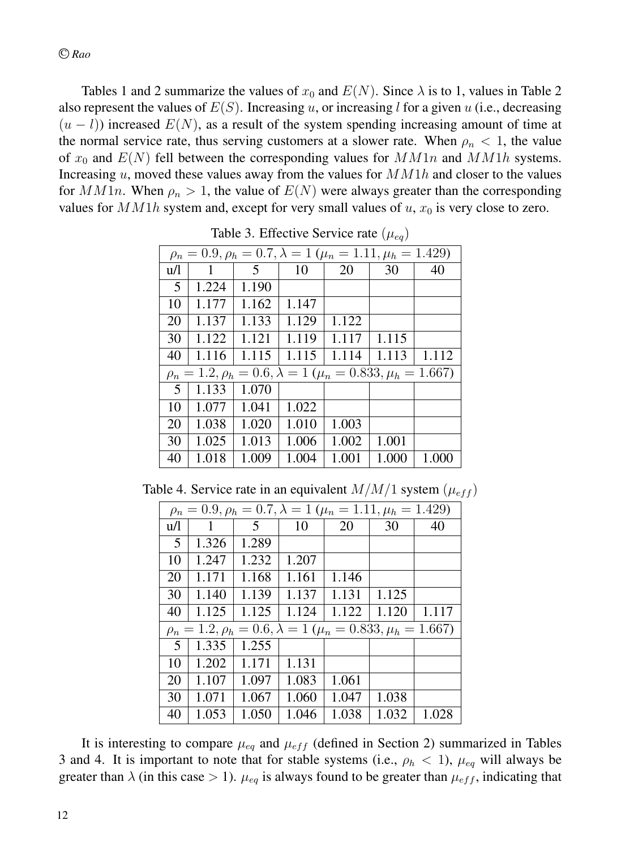Tables 1 and 2 summarize the values of  $x_0$  and  $E(N)$ . Since  $\lambda$  is to 1, values in Table 2 also represent the values of  $E(S)$ . Increasing u, or increasing l for a given u (i.e., decreasing  $(u - l)$ ) increased  $E(N)$ , as a result of the system spending increasing amount of time at the normal service rate, thus serving customers at a slower rate. When  $\rho_n < 1$ , the value of  $x_0$  and  $E(N)$  fell between the corresponding values for  $MM1n$  and  $MM1h$  systems. Increasing  $u$ , moved these values away from the values for  $M M1h$  and closer to the values for  $MM1n$ . When  $\rho_n > 1$ , the value of  $E(N)$  were always greater than the corresponding values for  $M M1h$  system and, except for very small values of  $u$ ,  $x_0$  is very close to zero.

|     |       |       |                                                                              |       | $\vee$ $\vee$ $\vee$ |       |
|-----|-------|-------|------------------------------------------------------------------------------|-------|----------------------|-------|
|     |       |       | $\rho_n = 0.9, \rho_h = 0.7, \lambda = 1$ ( $\mu_n = 1.11, \mu_h = 1.429$ )  |       |                      |       |
| u/l | 1     | .5    | 10                                                                           | 20    | 30                   | 40    |
| 5   | 1.224 | 1.190 |                                                                              |       |                      |       |
| 10  | 1.177 | 1.162 | 1.147                                                                        |       |                      |       |
| 20  | 1.137 | 1.133 | 1.129                                                                        | 1.122 |                      |       |
| 30  | 1.122 | 1.121 | 1.119                                                                        | 1.117 | 1.115                |       |
| 40  | 1.116 | 1.115 | 1.115                                                                        | 1.114 | 1.113                | 1.112 |
|     |       |       | $\rho_n = 1.2, \rho_h = 0.6, \lambda = 1$ ( $\mu_n = 0.833, \mu_h = 1.667$ ) |       |                      |       |
| 5   | 1.133 | 1.070 |                                                                              |       |                      |       |
| 10  | 1.077 | 1.041 | 1.022                                                                        |       |                      |       |
| 20  | 1.038 | 1.020 | 1.010                                                                        | 1.003 |                      |       |
| 30  | 1.025 | 1.013 | 1.006                                                                        | 1.002 | 1.001                |       |
| 40  | 1.018 | 1.009 | 1.004                                                                        | 1.001 | 1.000                | 1.000 |

Table 3. Effective Service rate  $(\mu_{eq})$ 

Table 4. Service rate in an equivalent  $M/M/1$  system  $(\mu_{eff})$ 

|     | $\rho_n = 0.9, \rho_h = 0.7, \lambda = 1$ ( $\mu_n = 1.11, \mu_h = 1.429$ ) |                                                                              |       |       |       |       |  |  |  |  |  |  |
|-----|-----------------------------------------------------------------------------|------------------------------------------------------------------------------|-------|-------|-------|-------|--|--|--|--|--|--|
| u/l | 1                                                                           | 5                                                                            | 10    | 20    | 30    | 40    |  |  |  |  |  |  |
| 5   | 1.326                                                                       | 1.289                                                                        |       |       |       |       |  |  |  |  |  |  |
| 10  | 1.247                                                                       | 1.232                                                                        | 1.207 |       |       |       |  |  |  |  |  |  |
| 20  | 1.171                                                                       | 1.168                                                                        | 1.161 | 1.146 |       |       |  |  |  |  |  |  |
| 30  | 1.140                                                                       | 1.139                                                                        | 1.137 | 1.131 | 1.125 |       |  |  |  |  |  |  |
| 40  | 1.125                                                                       | 1.125                                                                        | 1.124 | 1.122 | 1.120 | 1.117 |  |  |  |  |  |  |
|     |                                                                             | $\rho_n = 1.2, \rho_h = 0.6, \lambda = 1$ ( $\mu_n = 0.833, \mu_h = 1.667$ ) |       |       |       |       |  |  |  |  |  |  |
| 5   | 1.335                                                                       | 1.255                                                                        |       |       |       |       |  |  |  |  |  |  |
| 10  | 1.202                                                                       | 1.171                                                                        | 1.131 |       |       |       |  |  |  |  |  |  |
| 20  | 1.107                                                                       | 1.097                                                                        | 1.083 | 1.061 |       |       |  |  |  |  |  |  |
| 30  | 1.071                                                                       | 1.067                                                                        | 1.060 | 1.047 | 1.038 |       |  |  |  |  |  |  |
| 40  | 1.053                                                                       | 1.050                                                                        | 1.046 | 1.038 | 1.032 | 1.028 |  |  |  |  |  |  |

It is interesting to compare  $\mu_{eq}$  and  $\mu_{eff}$  (defined in Section 2) summarized in Tables 3 and 4. It is important to note that for stable systems (i.e.,  $\rho_h < 1$ ),  $\mu_{eq}$  will always be greater than  $\lambda$  (in this case > 1).  $\mu_{eq}$  is always found to be greater than  $\mu_{eff}$ , indicating that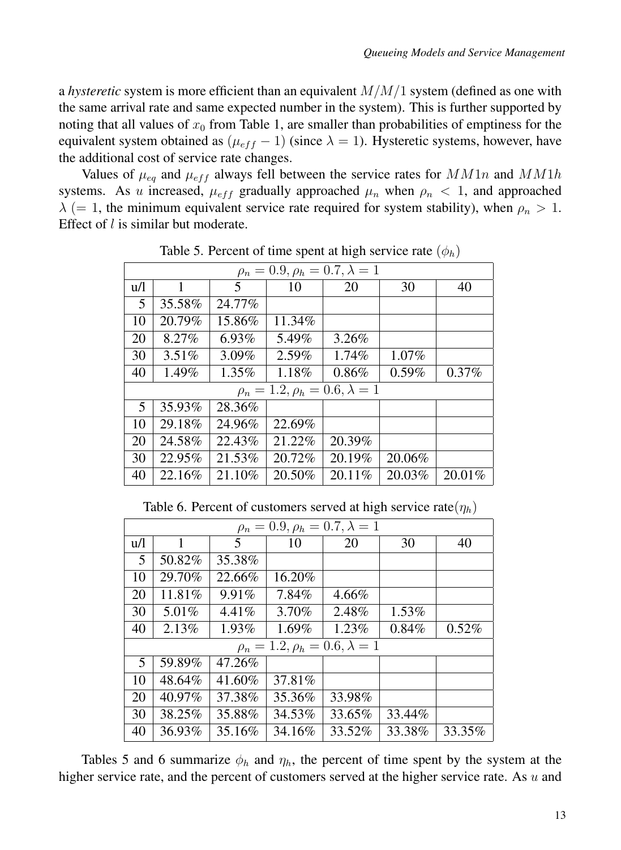a *hysteretic* system is more efficient than an equivalent M/M/1 system (defined as one with the same arrival rate and same expected number in the system). This is further supported by noting that all values of  $x_0$  from Table 1, are smaller than probabilities of emptiness for the equivalent system obtained as  $(\mu_{eff} - 1)$  (since  $\lambda = 1$ ). Hysteretic systems, however, have the additional cost of service rate changes.

Values of  $\mu_{eq}$  and  $\mu_{eff}$  always fell between the service rates for  $MM1n$  and  $MM1h$ systems. As u increased,  $\mu_{eff}$  gradually approached  $\mu_n$  when  $\rho_n < 1$ , and approached  $\lambda$  (= 1, the minimum equivalent service rate required for system stability), when  $\rho_n > 1$ . Effect of *l* is similar but moderate.

| $\rho_n = 0.9, \rho_h = 0.7, \lambda = 1$ |          |          |          |                                           |          |          |  |  |  |  |
|-------------------------------------------|----------|----------|----------|-------------------------------------------|----------|----------|--|--|--|--|
| u/l                                       | 1        | 5        | 10       | 20                                        | 30       | 40       |  |  |  |  |
| 5                                         | 35.58%   | 24.77%   |          |                                           |          |          |  |  |  |  |
| 10                                        | 20.79%   | 15.86%   | 11.34%   |                                           |          |          |  |  |  |  |
| 20                                        | 8.27%    | $6.93\%$ | 5.49%    | 3.26%                                     |          |          |  |  |  |  |
| 30                                        | $3.51\%$ | $3.09\%$ | $2.59\%$ | 1.74%                                     | $1.07\%$ |          |  |  |  |  |
| 40                                        | 1.49%    | $1.35\%$ | 1.18%    | 0.86%                                     | 0.59%    | $0.37\%$ |  |  |  |  |
|                                           |          |          |          | $\rho_n = 1.2, \rho_h = 0.6, \lambda = 1$ |          |          |  |  |  |  |
| $5\overline{)}$                           | 35.93%   | 28.36%   |          |                                           |          |          |  |  |  |  |
| 10                                        | 29.18%   | 24.96%   | 22.69%   |                                           |          |          |  |  |  |  |
| 20                                        | 24.58%   | 22.43%   | 21.22%   | 20.39%                                    |          |          |  |  |  |  |
| 30                                        | 22.95%   | 21.53%   | 20.72%   | 20.19%                                    | 20.06%   |          |  |  |  |  |
| 40                                        | 22.16%   | 21.10%   | 20.50%   | 20.11%                                    | 20.03%   | 20.01%   |  |  |  |  |

Table 5. Percent of time spent at high service rate  $(\phi_h)$ 

Table 6. Percent of customers served at high service rate $(\eta_h)$ 

| $\rho_n = 0.9, \rho_h = 0.7, \lambda = 1$ |              |          |        |                                           |          |        |  |  |  |  |
|-------------------------------------------|--------------|----------|--------|-------------------------------------------|----------|--------|--|--|--|--|
| u/l                                       | $\mathbf{1}$ | 5        | 10     | 20                                        | 30       | 40     |  |  |  |  |
| 5                                         | 50.82%       | 35.38%   |        |                                           |          |        |  |  |  |  |
| 10                                        | 29.70%       | 22.66%   | 16.20% |                                           |          |        |  |  |  |  |
| 20                                        | 11.81\%      | $9.91\%$ | 7.84%  | 4.66%                                     |          |        |  |  |  |  |
| 30                                        | 5.01%        | $4.41\%$ | 3.70%  | 2.48%                                     | $1.53\%$ |        |  |  |  |  |
| 40                                        | 2.13%        | $1.93\%$ | 1.69%  | $1.23\%$                                  | 0.84%    | 0.52%  |  |  |  |  |
|                                           |              |          |        | $\rho_n = 1.2, \rho_h = 0.6, \lambda = 1$ |          |        |  |  |  |  |
| 5                                         | 59.89%       | 47.26%   |        |                                           |          |        |  |  |  |  |
| 10                                        | 48.64%       | 41.60%   | 37.81% |                                           |          |        |  |  |  |  |
| 20                                        | 40.97%       | 37.38%   | 35.36% | 33.98%                                    |          |        |  |  |  |  |
| 30                                        | 38.25%       | 35.88%   | 34.53% | 33.65%                                    | 33.44%   |        |  |  |  |  |
| 40                                        | 36.93%       | 35.16%   | 34.16% | 33.52%                                    | 33.38%   | 33.35% |  |  |  |  |

Tables 5 and 6 summarize  $\phi_h$  and  $\eta_h$ , the percent of time spent by the system at the higher service rate, and the percent of customers served at the higher service rate. As  $u$  and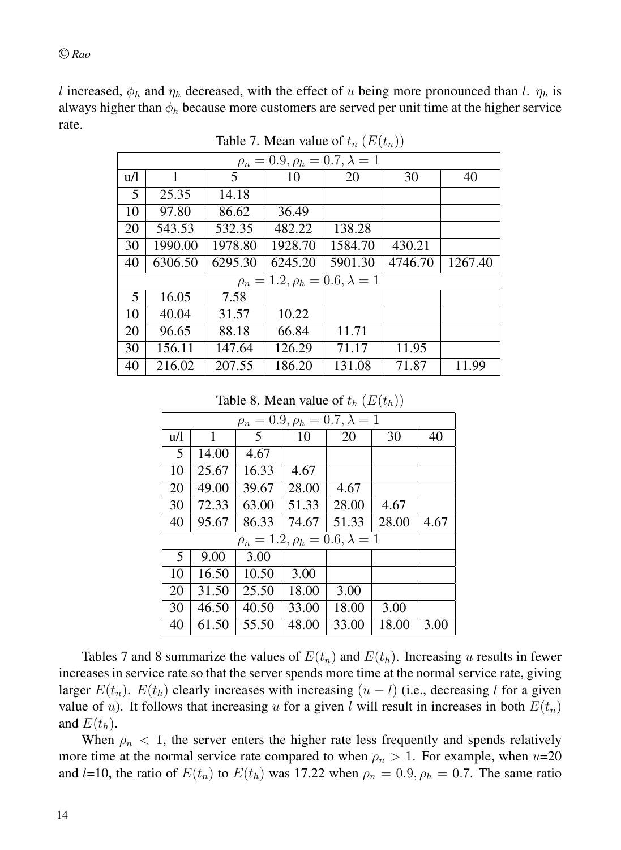l increased,  $\phi_h$  and  $\eta_h$  decreased, with the effect of u being more pronounced than l.  $\eta_h$  is always higher than  $\phi_h$  because more customers are served per unit time at the higher service rate.

| $\rho_n = 0.9, \rho_h = 0.7, \lambda = 1$ |         |         |                                           |         |         |         |  |  |  |  |
|-------------------------------------------|---------|---------|-------------------------------------------|---------|---------|---------|--|--|--|--|
| u/l                                       | 1       | 5       | 10                                        | 20      | 30      | 40      |  |  |  |  |
| 5                                         | 25.35   | 14.18   |                                           |         |         |         |  |  |  |  |
| 10                                        | 97.80   | 86.62   | 36.49                                     |         |         |         |  |  |  |  |
| 20                                        | 543.53  | 532.35  | 482.22                                    | 138.28  |         |         |  |  |  |  |
| 30                                        | 1990.00 | 1978.80 | 1928.70                                   | 1584.70 | 430.21  |         |  |  |  |  |
| 40                                        | 6306.50 | 6295.30 | 6245.20                                   | 5901.30 | 4746.70 | 1267.40 |  |  |  |  |
|                                           |         |         | $\rho_n = 1.2, \rho_h = 0.6, \lambda = 1$ |         |         |         |  |  |  |  |
| 5                                         | 16.05   | 7.58    |                                           |         |         |         |  |  |  |  |
| 10                                        | 40.04   | 31.57   | 10.22                                     |         |         |         |  |  |  |  |
| 20                                        | 96.65   | 88.18   | 66.84                                     | 11.71   |         |         |  |  |  |  |
| 30                                        | 156.11  | 147.64  | 126.29                                    | 71.17   | 11.95   |         |  |  |  |  |
| 40                                        | 216.02  | 207.55  | 186.20                                    | 131.08  | 71.87   | 11.99   |  |  |  |  |

Table 7. Mean value of  $t_n$   $(E(t_n))$ 

Table 8. Mean value of  $t_h$   $(E(t_h))$ 

|     | $\rho_n = 0.9, \rho_h = 0.7, \lambda = 1$ |       |                                           |       |       |      |  |  |  |  |  |
|-----|-------------------------------------------|-------|-------------------------------------------|-------|-------|------|--|--|--|--|--|
| u/l | 1                                         | 5     | 10                                        | 20    | 30    | 40   |  |  |  |  |  |
| 5   | 14.00                                     | 4.67  |                                           |       |       |      |  |  |  |  |  |
| 10  | 25.67                                     | 16.33 | 4.67                                      |       |       |      |  |  |  |  |  |
| 20  | 49.00                                     | 39.67 | 28.00                                     | 4.67  |       |      |  |  |  |  |  |
| 30  | 72.33                                     | 63.00 | 51.33                                     | 28.00 | 4.67  |      |  |  |  |  |  |
| 40  | 95.67                                     | 86.33 | 74.67                                     | 51.33 | 28.00 | 4.67 |  |  |  |  |  |
|     |                                           |       | $\rho_n = 1.2, \rho_h = 0.6, \lambda = 1$ |       |       |      |  |  |  |  |  |
| 5   | 9.00                                      | 3.00  |                                           |       |       |      |  |  |  |  |  |
| 10  | 16.50                                     | 10.50 | 3.00                                      |       |       |      |  |  |  |  |  |
| 20  | 31.50                                     | 25.50 | 18.00                                     | 3.00  |       |      |  |  |  |  |  |
| 30  | 46.50                                     | 40.50 | 33.00                                     | 18.00 | 3.00  |      |  |  |  |  |  |
| 40  | 61.50                                     | 55.50 | 48.00                                     | 33.00 | 18.00 | 3.00 |  |  |  |  |  |

Tables 7 and 8 summarize the values of  $E(t_n)$  and  $E(t_h)$ . Increasing u results in fewer increases in service rate so that the server spends more time at the normal service rate, giving larger  $E(t_n)$ .  $E(t_h)$  clearly increases with increasing  $(u - l)$  (i.e., decreasing l for a given value of u). It follows that increasing u for a given l will result in increases in both  $E(t_n)$ and  $E(t_h)$ .

When  $\rho_n < 1$ , the server enters the higher rate less frequently and spends relatively more time at the normal service rate compared to when  $\rho_n > 1$ . For example, when u=20 and l=10, the ratio of  $E(t_n)$  to  $E(t_h)$  was 17.22 when  $\rho_n = 0.9$ ,  $\rho_h = 0.7$ . The same ratio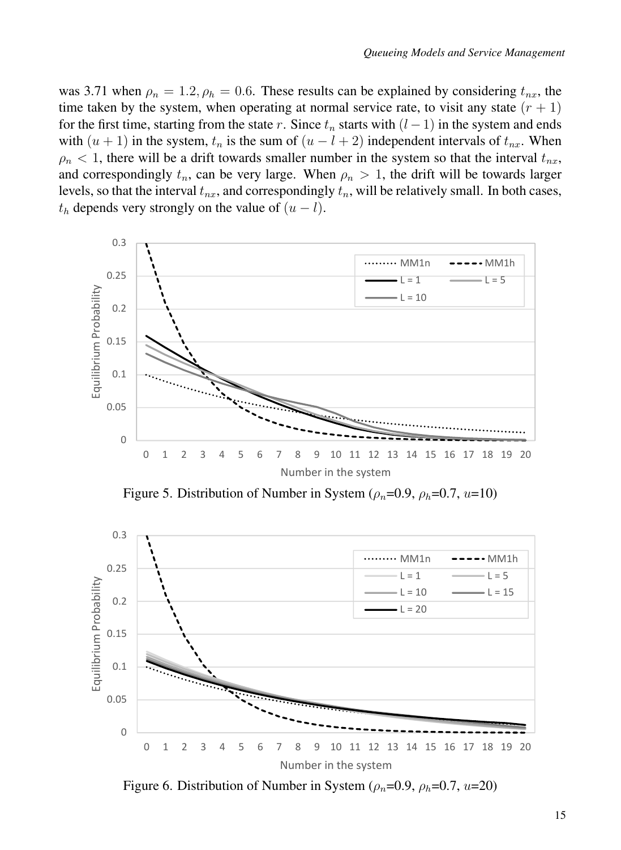was 3.71 when  $\rho_n = 1.2$ ,  $\rho_h = 0.6$ . These results can be explained by considering  $t_{nx}$ , the time taken by the system, when operating at normal service rate, to visit any state  $(r + 1)$ for the first time, starting from the state r. Since  $t_n$  starts with  $(l-1)$  in the system and ends with  $(u + 1)$  in the system,  $t_n$  is the sum of  $(u - l + 2)$  independent intervals of  $t_{nx}$ . When  $\rho_n$  < 1, there will be a drift towards smaller number in the system so that the interval  $t_{nx}$ , and correspondingly  $t_n$ , can be very large. When  $\rho_n > 1$ , the drift will be towards larger levels, so that the interval  $t_{nx}$ , and correspondingly  $t_n$ , will be relatively small. In both cases,  $t<sub>h</sub>$  depends very strongly on the value of  $(u - l)$ .



Figure 5. Distribution of Number in System ( $\rho_n$ =0.9,  $\rho_h$ =0.7, u=10)



Figure 6. Distribution of Number in System ( $\rho_n$ =0.9,  $\rho_h$ =0.7, u=20)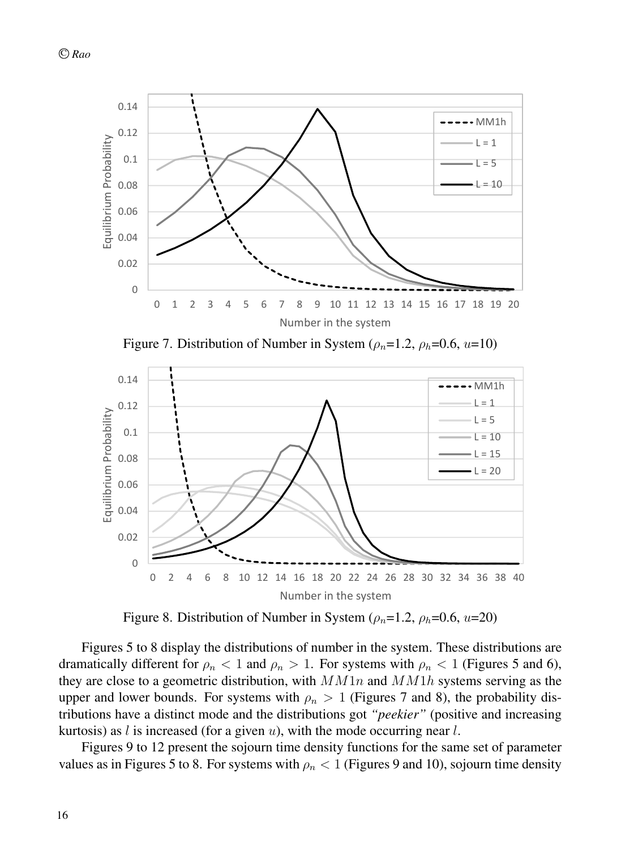

Figure 7. Distribution of Number in System ( $\rho_n$ =1.2,  $\rho_h$ =0.6, u=10)



Figure 8. Distribution of Number in System ( $\rho_n=1.2$ ,  $\rho_h=0.6$ ,  $u=20$ )

Figures 5 to 8 display the distributions of number in the system. These distributions are dramatically different for  $\rho_n < 1$  and  $\rho_n > 1$ . For systems with  $\rho_n < 1$  (Figures 5 and 6), they are close to a geometric distribution, with  $MM1n$  and  $MM1h$  systems serving as the upper and lower bounds. For systems with  $\rho_n > 1$  (Figures 7 and 8), the probability distributions have a distinct mode and the distributions got *"peekier"* (positive and increasing kurtosis) as l is increased (for a given  $u$ ), with the mode occurring near l.

Figures 9 to 12 present the sojourn time density functions for the same set of parameter values as in Figures 5 to 8. For systems with  $\rho_n < 1$  (Figures 9 and 10), sojourn time density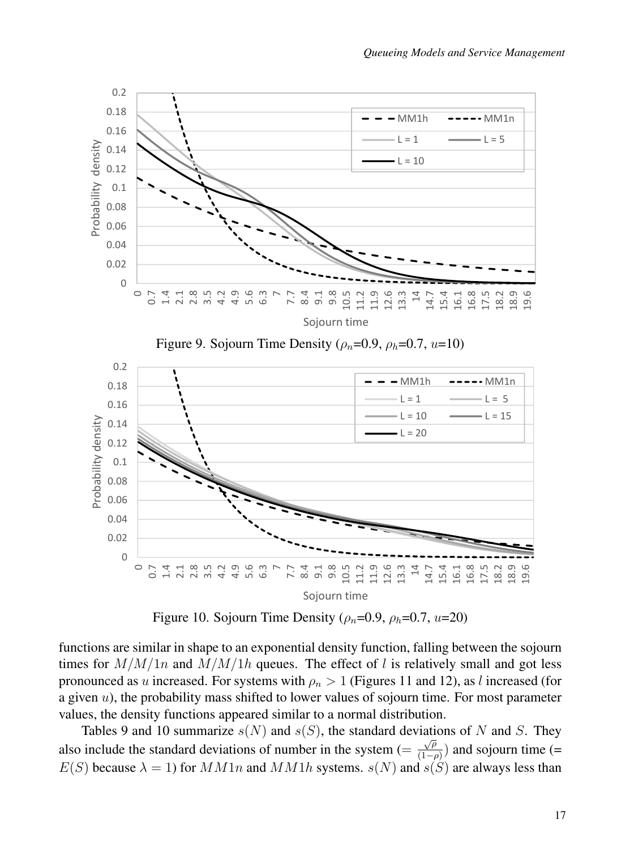

Figure 10. Sojourn Time Density ( $\rho_n$ =0.9,  $\rho_h$ =0.7, u=20)

functions are similar in shape to an exponential density function, falling between the sojourn times for  $M/M/1n$  and  $M/M/1h$  queues. The effect of l is relatively small and got less pronounced as u increased. For systems with  $\rho_n > 1$  (Figures 11 and 12), as l increased (for a given u), the probability mass shifted to lower values of sojourn time. For most parameter values, the density functions appeared similar to a normal distribution.

Tables 9 and 10 summarize  $s(N)$  and  $s(S)$ , the standard deviations of N and S. They also include the standard deviations of number in the system  $(=\frac{\sqrt{\rho}}{(1-\rho)})$  and sojourn time (=  $E(S)$  because  $\lambda = 1$ ) for  $MM1n$  and  $MM1h$  systems.  $s(N)$  and  $s(S)$  are always less than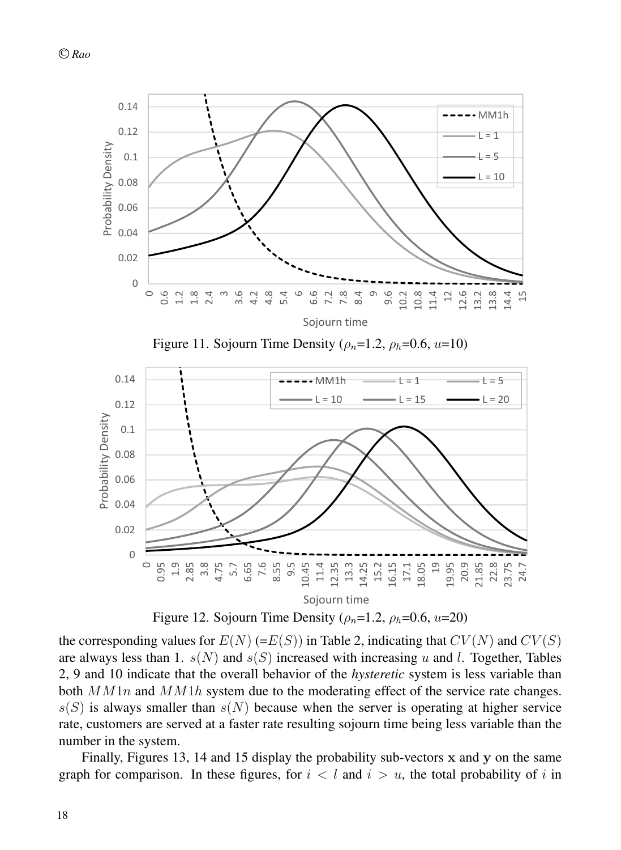

Figure 11. Sojourn Time Density ( $\rho_n=1.2$ ,  $\rho_h=0.6$ ,  $u=10$ )



Figure 12. Sojourn Time Density ( $\rho_n=1.2$ ,  $\rho_h=0.6$ ,  $u=20$ )

the corresponding values for  $E(N)$  (= $E(S)$ ) in Table 2, indicating that  $CV(N)$  and  $CV(S)$ are always less than 1.  $s(N)$  and  $s(S)$  increased with increasing u and l. Together, Tables 2, 9 and 10 indicate that the overall behavior of the *hysteretic* system is less variable than both  $M M1n$  and  $M M1h$  system due to the moderating effect of the service rate changes.  $s(S)$  is always smaller than  $s(N)$  because when the server is operating at higher service rate, customers are served at a faster rate resulting sojourn time being less variable than the number in the system.

Finally, Figures 13, 14 and 15 display the probability sub-vectors x and y on the same graph for comparison. In these figures, for  $i < l$  and  $i > u$ , the total probability of i in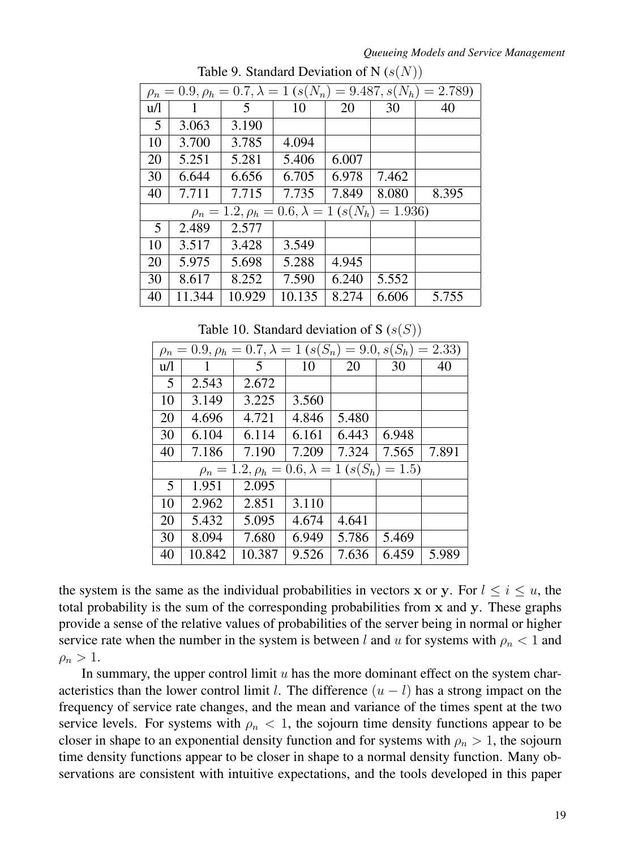#### *Queueing Models and Service Management*

|             |        |                                                               |        |       |           | $\rho_n = 0.9, \rho_h = 0.7, \lambda = 1$ $(s(N_n) = 9.487, s(N_h) = 2.789)$ |
|-------------|--------|---------------------------------------------------------------|--------|-------|-----------|------------------------------------------------------------------------------|
| u/l         | 1      | 5                                                             | 10     | 20    | 30        | 40                                                                           |
| $5^{\circ}$ | 3.063  | 3.190                                                         |        |       |           |                                                                              |
| 10          | 3.700  | 3.785                                                         | 4.094  |       |           |                                                                              |
| 20          | 5.251  | 5.281                                                         | 5.406  | 6.007 |           |                                                                              |
| 30          | 6.644  | 6.656                                                         | 6.705  | 6.978 | 7.462     |                                                                              |
| 40          | 7.711  | 7.715                                                         | 7.735  | 7.849 | 8.080     | 8.395                                                                        |
|             |        | $\rho_n = 1.2, \rho_h = 0.6, \lambda = 1$ (s(N <sub>h</sub> ) |        |       | $= 1.936$ |                                                                              |
| 5           | 2.489  | 2.577                                                         |        |       |           |                                                                              |
| 10          | 3.517  | 3.428                                                         | 3.549  |       |           |                                                                              |
| 20          | 5.975  | 5.698                                                         | 5.288  | 4.945 |           |                                                                              |
| 30          | 8.617  | 8.252                                                         | 7.590  | 6.240 | 5.552     |                                                                              |
| 40          | 11.344 | 10.929                                                        | 10.135 | 8.274 | 6.606     | 5.755                                                                        |

Table 9. Standard Deviation of N  $(s(N))$ 

Table 10. Standard deviation of S  $(s(S))$ 

|     | $\rho_n = 0.9, \rho_h = 0.7, \lambda = 1$ $(s(S_n) = 9.0, s(S_h) = 2.33)$ |                                                               |       |       |         |       |  |  |  |  |  |  |
|-----|---------------------------------------------------------------------------|---------------------------------------------------------------|-------|-------|---------|-------|--|--|--|--|--|--|
| u/l |                                                                           | 5                                                             | 10    | 20    | 30      | 40    |  |  |  |  |  |  |
| 5   | 2.543                                                                     | 2.672                                                         |       |       |         |       |  |  |  |  |  |  |
| 10  | 3.149                                                                     | 3.225                                                         | 3.560 |       |         |       |  |  |  |  |  |  |
| 20  | 4.696                                                                     | 4.721                                                         | 4.846 | 5.480 |         |       |  |  |  |  |  |  |
| 30  | 6.104                                                                     | 6.114                                                         | 6.161 | 6.443 | 6.948   |       |  |  |  |  |  |  |
| 40  | 7.186                                                                     | 7.190                                                         | 7.209 | 7.324 | 7.565   | 7.891 |  |  |  |  |  |  |
|     |                                                                           | $\rho_n = 1.2, \rho_h = 0.6, \lambda = 1$ (s(S <sub>h</sub> ) |       |       | $= 1.5$ |       |  |  |  |  |  |  |
| 5   | 1.951                                                                     | 2.095                                                         |       |       |         |       |  |  |  |  |  |  |
| 10  | 2.962                                                                     | 2.851                                                         | 3.110 |       |         |       |  |  |  |  |  |  |
| 20  | 5.432                                                                     | 5.095                                                         | 4.674 | 4.641 |         |       |  |  |  |  |  |  |
| 30  | 8.094                                                                     | 7.680                                                         | 6.949 | 5.786 | 5.469   |       |  |  |  |  |  |  |
| 40  | 10.842                                                                    | 10.387                                                        | 9.526 | 7.636 | 6.459   | 5.989 |  |  |  |  |  |  |

the system is the same as the individual probabilities in vectors x or y. For  $l \le i \le u$ , the total probability is the sum of the corresponding probabilities from x and y. These graphs provide a sense of the relative values of probabilities of the server being in normal or higher service rate when the number in the system is between l and u for systems with  $\rho_n < 1$  and  $\rho_n > 1$ .

In summary, the upper control limit  $u$  has the more dominant effect on the system characteristics than the lower control limit l. The difference  $(u - l)$  has a strong impact on the frequency of service rate changes, and the mean and variance of the times spent at the two service levels. For systems with  $\rho_n < 1$ , the sojourn time density functions appear to be closer in shape to an exponential density function and for systems with  $\rho_n > 1$ , the sojourn time density functions appear to be closer in shape to a normal density function. Many observations are consistent with intuitive expectations, and the tools developed in this paper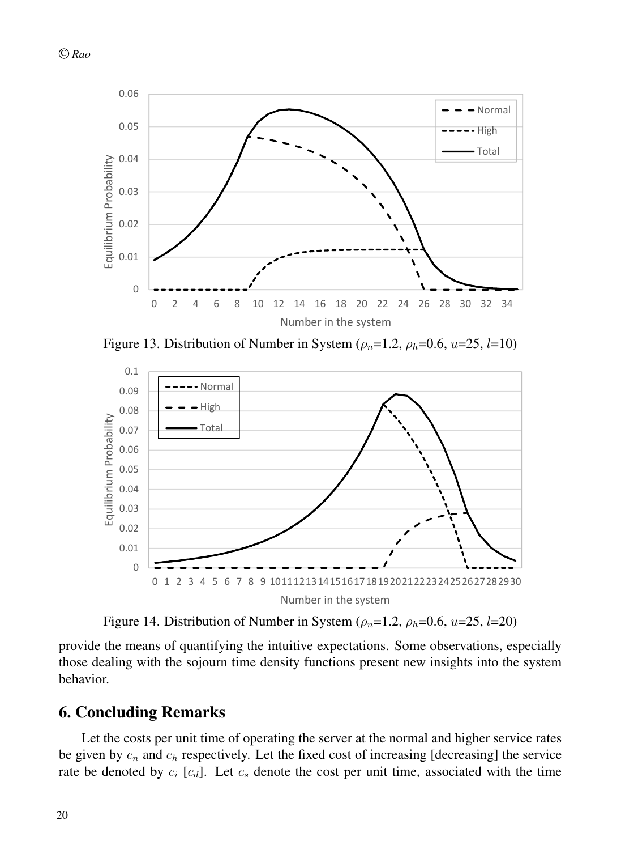

Figure 13. Distribution of Number in System ( $\rho_n=1.2$ ,  $\rho_h=0.6$ ,  $u=25$ ,  $l=10$ )



Figure 14. Distribution of Number in System ( $\rho_n=1.2$ ,  $\rho_h=0.6$ ,  $u=25$ ,  $l=20$ )

provide the means of quantifying the intuitive expectations. Some observations, especially those dealing with the sojourn time density functions present new insights into the system behavior.

## 6. Concluding Remarks

Let the costs per unit time of operating the server at the normal and higher service rates be given by  $c_n$  and  $c_h$  respectively. Let the fixed cost of increasing [decreasing] the service rate be denoted by  $c_i$  [ $c_d$ ]. Let  $c_s$  denote the cost per unit time, associated with the time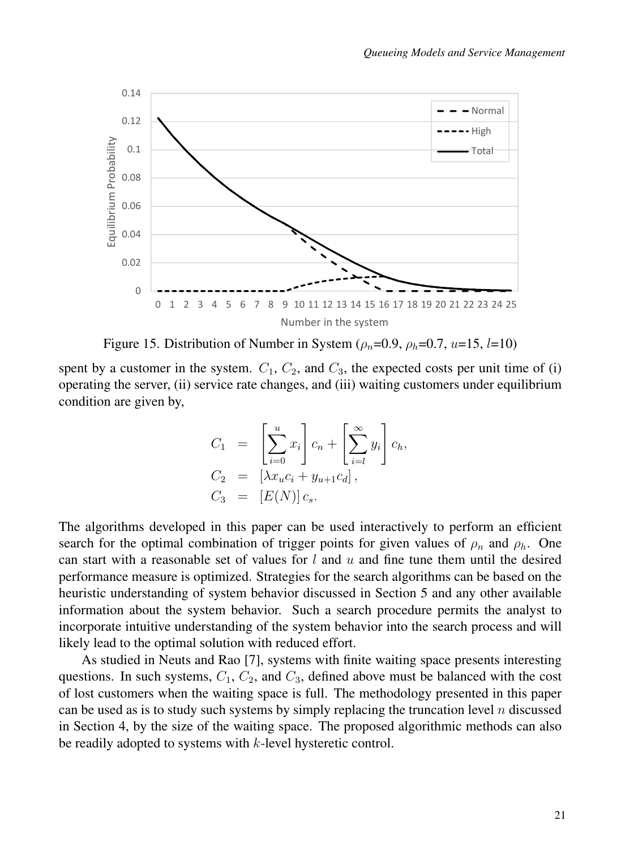

Figure 15. Distribution of Number in System ( $\rho_n=0.9$ ,  $\rho_h=0.7$ ,  $u=15$ ,  $l=10$ )

spent by a customer in the system.  $C_1$ ,  $C_2$ , and  $C_3$ , the expected costs per unit time of (i) operating the server, (ii) service rate changes, and (iii) waiting customers under equilibrium condition are given by,

$$
C_1 = \left[\sum_{i=0}^{u} x_i\right] c_n + \left[\sum_{i=l}^{\infty} y_i\right] c_h,
$$
  
\n
$$
C_2 = \left[\lambda x_u c_i + y_{u+1} c_d\right],
$$
  
\n
$$
C_3 = \left[E(N)\right] c_s.
$$

The algorithms developed in this paper can be used interactively to perform an efficient search for the optimal combination of trigger points for given values of  $\rho_n$  and  $\rho_h$ . One can start with a reasonable set of values for  $l$  and  $u$  and fine tune them until the desired performance measure is optimized. Strategies for the search algorithms can be based on the heuristic understanding of system behavior discussed in Section 5 and any other available information about the system behavior. Such a search procedure permits the analyst to incorporate intuitive understanding of the system behavior into the search process and will likely lead to the optimal solution with reduced effort.

As studied in Neuts and Rao [7], systems with finite waiting space presents interesting questions. In such systems,  $C_1$ ,  $C_2$ , and  $C_3$ , defined above must be balanced with the cost of lost customers when the waiting space is full. The methodology presented in this paper can be used as is to study such systems by simply replacing the truncation level  $n$  discussed in Section 4, by the size of the waiting space. The proposed algorithmic methods can also be readily adopted to systems with k-level hysteretic control.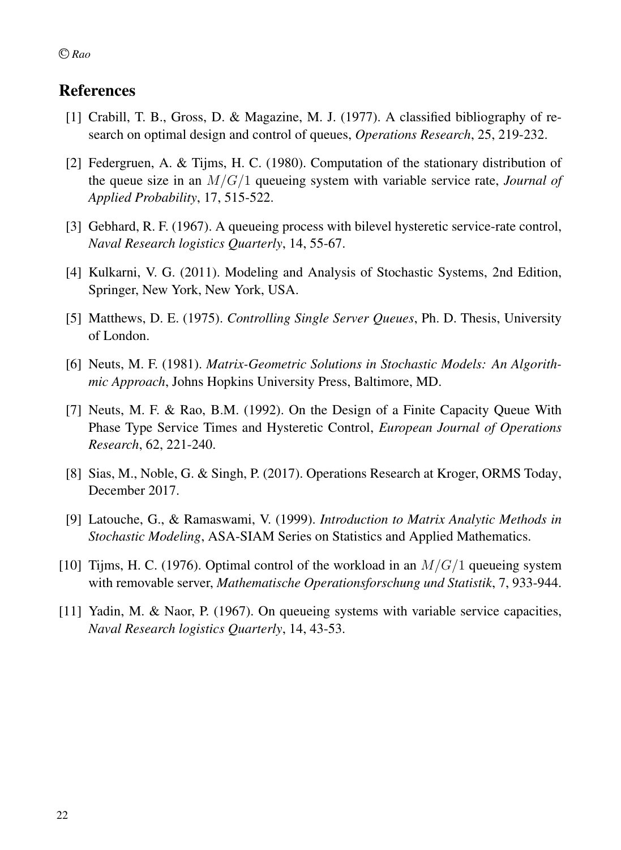# References

- [1] Crabill, T. B., Gross, D. & Magazine, M. J. (1977). A classified bibliography of research on optimal design and control of queues, *Operations Research*, 25, 219-232.
- [2] Federgruen, A. & Tijms, H. C. (1980). Computation of the stationary distribution of the queue size in an M/G/1 queueing system with variable service rate, *Journal of Applied Probability*, 17, 515-522.
- [3] Gebhard, R. F. (1967). A queueing process with bilevel hysteretic service-rate control, *Naval Research logistics Quarterly*, 14, 55-67.
- [4] Kulkarni, V. G. (2011). Modeling and Analysis of Stochastic Systems, 2nd Edition, Springer, New York, New York, USA.
- [5] Matthews, D. E. (1975). *Controlling Single Server Queues*, Ph. D. Thesis, University of London.
- [6] Neuts, M. F. (1981). *Matrix-Geometric Solutions in Stochastic Models: An Algorithmic Approach*, Johns Hopkins University Press, Baltimore, MD.
- [7] Neuts, M. F. & Rao, B.M. (1992). On the Design of a Finite Capacity Queue With Phase Type Service Times and Hysteretic Control, *European Journal of Operations Research*, 62, 221-240.
- [8] Sias, M., Noble, G. & Singh, P. (2017). Operations Research at Kroger, ORMS Today, December 2017.
- [9] Latouche, G., & Ramaswami, V. (1999). *Introduction to Matrix Analytic Methods in Stochastic Modeling*, ASA-SIAM Series on Statistics and Applied Mathematics.
- [10] Tijms, H. C. (1976). Optimal control of the workload in an  $M/G/1$  queueing system with removable server, *Mathematische Operationsforschung und Statistik*, 7, 933-944.
- [11] Yadin, M. & Naor, P. (1967). On queueing systems with variable service capacities, *Naval Research logistics Quarterly*, 14, 43-53.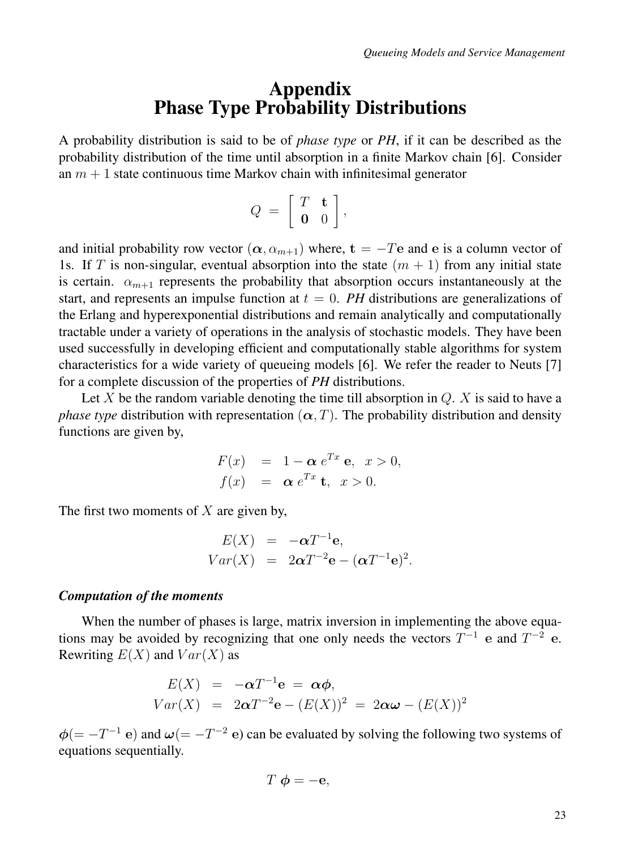# Appendix Phase Type Probability Distributions

A probability distribution is said to be of *phase type* or *PH*, if it can be described as the probability distribution of the time until absorption in a finite Markov chain [6]. Consider an  $m + 1$  state continuous time Markov chain with infinitesimal generator

$$
Q = \left[ \begin{array}{cc} T & \mathbf{t} \\ \mathbf{0} & 0 \end{array} \right],
$$

and initial probability row vector  $(\alpha, \alpha_{m+1})$  where,  $t = -Te$  and e is a column vector of 1s. If T is non-singular, eventual absorption into the state  $(m + 1)$  from any initial state is certain.  $\alpha_{m+1}$  represents the probability that absorption occurs instantaneously at the start, and represents an impulse function at  $t = 0$ . PH distributions are generalizations of the Erlang and hyperexponential distributions and remain analytically and computationally tractable under a variety of operations in the analysis of stochastic models. They have been used successfully in developing efficient and computationally stable algorithms for system characteristics for a wide variety of queueing models [6]. We refer the reader to Neuts [7] for a complete discussion of the properties of *PH* distributions.

Let X be the random variable denoting the time till absorption in  $Q$ . X is said to have a *phase type* distribution with representation  $(\alpha, T)$ . The probability distribution and density functions are given by,

$$
F(x) = 1 - \alpha e^{Tx} e, \quad x > 0,
$$
  

$$
f(x) = \alpha e^{Tx} t, \quad x > 0.
$$

The first two moments of  $X$  are given by,

$$
E(X) = -\alpha T^{-1} \mathbf{e},
$$
  
 
$$
Var(X) = 2\alpha T^{-2} \mathbf{e} - (\alpha T^{-1} \mathbf{e})^2.
$$

#### *Computation of the moments*

When the number of phases is large, matrix inversion in implementing the above equations may be avoided by recognizing that one only needs the vectors  $T^{-1}$  e and  $T^{-2}$  e. Rewriting  $E(X)$  and  $Var(X)$  as

$$
E(X) = -\alpha T^{-1} \mathbf{e} = \alpha \phi,
$$
  
 
$$
Var(X) = 2\alpha T^{-2} \mathbf{e} - (E(X))^2 = 2\alpha \omega - (E(X))^2
$$

 $\phi$ (= -T<sup>-1</sup> e) and  $\omega$ (= -T<sup>-2</sup> e) can be evaluated by solving the following two systems of equations sequentially.

$$
T \phi = -\mathbf{e},
$$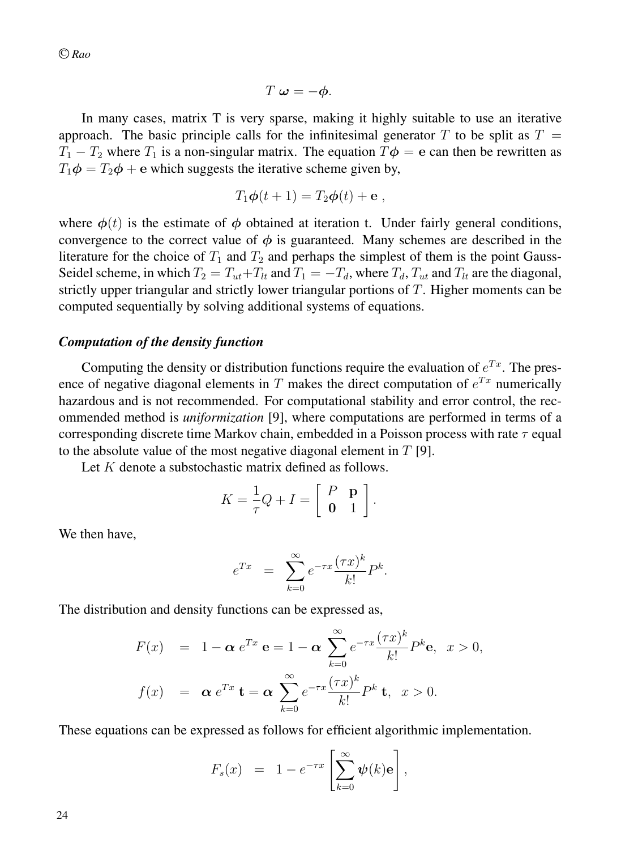$$
T\omega=-\phi.
$$

In many cases, matrix T is very sparse, making it highly suitable to use an iterative approach. The basic principle calls for the infinitesimal generator T to be split as  $T =$  $T_1 - T_2$  where  $T_1$  is a non-singular matrix. The equation  $T\phi = e$  can then be rewritten as  $T_1\phi = T_2\phi + e$  which suggests the iterative scheme given by,

$$
T_1\boldsymbol{\phi}(t+1)=T_2\boldsymbol{\phi}(t)+\mathbf{e} ,
$$

where  $\phi(t)$  is the estimate of  $\phi$  obtained at iteration t. Under fairly general conditions, convergence to the correct value of  $\phi$  is guaranteed. Many schemes are described in the literature for the choice of  $T_1$  and  $T_2$  and perhaps the simplest of them is the point Gauss-Seidel scheme, in which  $T_2 = T_{ut} + T_{lt}$  and  $T_1 = -T_d$ , where  $T_d$ ,  $T_{ut}$  and  $T_{lt}$  are the diagonal, strictly upper triangular and strictly lower triangular portions of T. Higher moments can be computed sequentially by solving additional systems of equations.

#### *Computation of the density function*

Computing the density or distribution functions require the evaluation of  $e^{Tx}$ . The presence of negative diagonal elements in T makes the direct computation of  $e^{Tx}$  numerically hazardous and is not recommended. For computational stability and error control, the recommended method is *uniformization* [9], where computations are performed in terms of a corresponding discrete time Markov chain, embedded in a Poisson process with rate  $\tau$  equal to the absolute value of the most negative diagonal element in  $T$  [9].

Let K denote a substochastic matrix defined as follows.

$$
K = \frac{1}{\tau}Q + I = \left[\begin{array}{cc} P & \mathbf{p} \\ \mathbf{0} & 1 \end{array}\right].
$$

We then have,

$$
e^{Tx} = \sum_{k=0}^{\infty} e^{-\tau x} \frac{(\tau x)^k}{k!} P^k.
$$

The distribution and density functions can be expressed as,

$$
F(x) = 1 - \alpha e^{Tx} \mathbf{e} = 1 - \alpha \sum_{k=0}^{\infty} e^{-\tau x} \frac{(\tau x)^k}{k!} P^k \mathbf{e}, \quad x > 0,
$$
  

$$
f(x) = \alpha e^{Tx} \mathbf{t} = \alpha \sum_{k=0}^{\infty} e^{-\tau x} \frac{(\tau x)^k}{k!} P^k \mathbf{t}, \quad x > 0.
$$

These equations can be expressed as follows for efficient algorithmic implementation.

$$
F_s(x) = 1 - e^{-\tau x} \left[ \sum_{k=0}^{\infty} \psi(k) \mathbf{e} \right],
$$